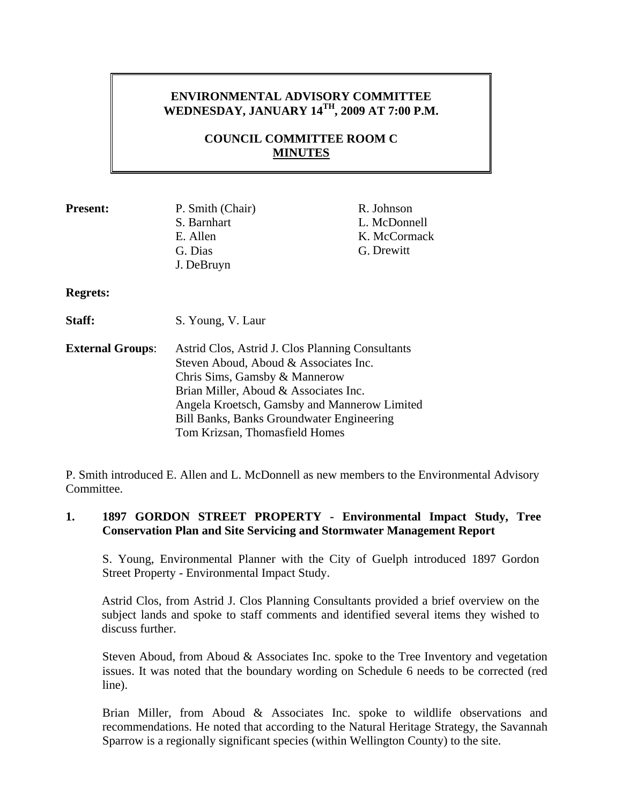## **ENVIRONMENTAL ADVISORY COMMITTEE WEDNESDAY, JANUARY 14TH, 2009 AT 7:00 P.M.**

## **COUNCIL COMMITTEE ROOM C MINUTES**

| <b>Present:</b>         | P. Smith (Chair)<br>S. Barnhart<br>E. Allen<br>G. Dias<br>J. DeBruyn                                                                                                                                                                                                                               | R. Johnson<br>L. McDonnell<br>K. McCormack<br>G. Drewitt |
|-------------------------|----------------------------------------------------------------------------------------------------------------------------------------------------------------------------------------------------------------------------------------------------------------------------------------------------|----------------------------------------------------------|
| <b>Regrets:</b>         |                                                                                                                                                                                                                                                                                                    |                                                          |
| <b>Staff:</b>           | S. Young, V. Laur                                                                                                                                                                                                                                                                                  |                                                          |
| <b>External Groups:</b> | Astrid Clos, Astrid J. Clos Planning Consultants<br>Steven Aboud, Aboud & Associates Inc.<br>Chris Sims, Gamsby & Mannerow<br>Brian Miller, Aboud & Associates Inc.<br>Angela Kroetsch, Gamsby and Mannerow Limited<br>Bill Banks, Banks Groundwater Engineering<br>Tom Krizsan, Thomasfield Homes |                                                          |

P. Smith introduced E. Allen and L. McDonnell as new members to the Environmental Advisory **Committee** 

## **1. 1897 GORDON STREET PROPERTY - Environmental Impact Study, Tree Conservation Plan and Site Servicing and Stormwater Management Report**

S. Young, Environmental Planner with the City of Guelph introduced 1897 Gordon Street Property - Environmental Impact Study.

Astrid Clos, from Astrid J. Clos Planning Consultants provided a brief overview on the subject lands and spoke to staff comments and identified several items they wished to discuss further.

Steven Aboud, from Aboud & Associates Inc. spoke to the Tree Inventory and vegetation issues. It was noted that the boundary wording on Schedule 6 needs to be corrected (red line).

Brian Miller, from Aboud & Associates Inc. spoke to wildlife observations and recommendations. He noted that according to the Natural Heritage Strategy, the Savannah Sparrow is a regionally significant species (within Wellington County) to the site.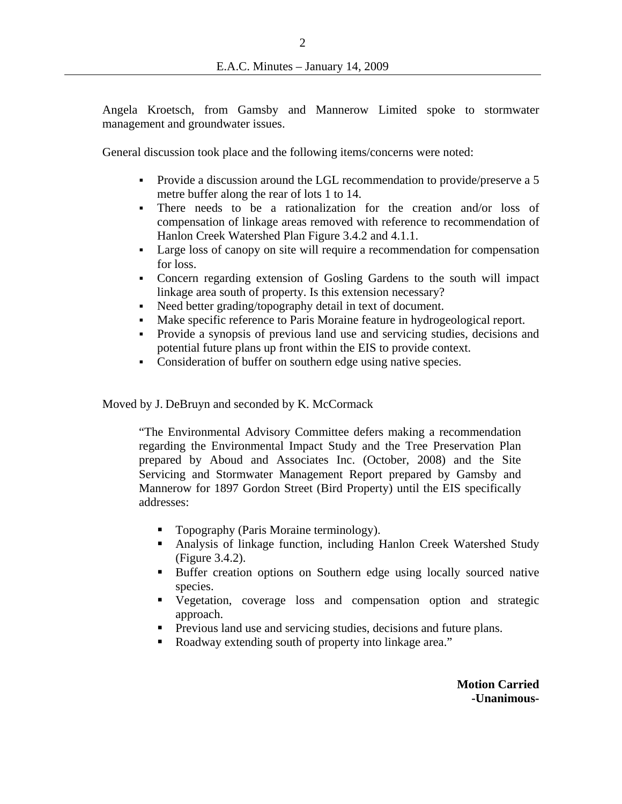Angela Kroetsch, from Gamsby and Mannerow Limited spoke to stormwater management and groundwater issues.

General discussion took place and the following items/concerns were noted:

- Provide a discussion around the LGL recommendation to provide/preserve a 5 metre buffer along the rear of lots 1 to 14.
- There needs to be a rationalization for the creation and/or loss of compensation of linkage areas removed with reference to recommendation of Hanlon Creek Watershed Plan Figure 3.4.2 and 4.1.1.
- Large loss of canopy on site will require a recommendation for compensation for loss.
- Concern regarding extension of Gosling Gardens to the south will impact linkage area south of property. Is this extension necessary?
- Need better grading/topography detail in text of document.
- Make specific reference to Paris Moraine feature in hydrogeological report.
- Provide a synopsis of previous land use and servicing studies, decisions and potential future plans up front within the EIS to provide context.
- Consideration of buffer on southern edge using native species.

Moved by J. DeBruyn and seconded by K. McCormack

"The Environmental Advisory Committee defers making a recommendation regarding the Environmental Impact Study and the Tree Preservation Plan prepared by Aboud and Associates Inc. (October, 2008) and the Site Servicing and Stormwater Management Report prepared by Gamsby and Mannerow for 1897 Gordon Street (Bird Property) until the EIS specifically addresses:

- **Topography (Paris Moraine terminology).**
- Analysis of linkage function, including Hanlon Creek Watershed Study (Figure 3.4.2).
- Buffer creation options on Southern edge using locally sourced native species.
- Vegetation, coverage loss and compensation option and strategic approach.
- **Previous land use and servicing studies, decisions and future plans.**
- Roadway extending south of property into linkage area."

**Motion Carried -Unanimous-**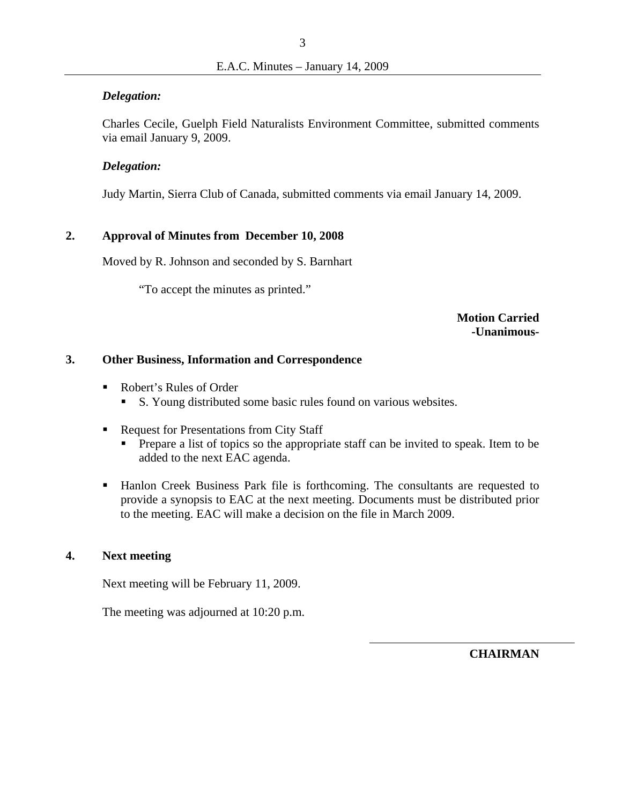#### *Delegation:*

Charles Cecile, Guelph Field Naturalists Environment Committee, submitted comments via email January 9, 2009.

### *Delegation:*

Judy Martin, Sierra Club of Canada, submitted comments via email January 14, 2009.

### **2. Approval of Minutes from December 10, 2008**

Moved by R. Johnson and seconded by S. Barnhart

"To accept the minutes as printed."

**Motion Carried -Unanimous-**

#### **3. Other Business, Information and Correspondence**

- Robert's Rules of Order
	- S. Young distributed some basic rules found on various websites.
- Request for Presentations from City Staff
	- Prepare a list of topics so the appropriate staff can be invited to speak. Item to be added to the next EAC agenda.
- Hanlon Creek Business Park file is forthcoming. The consultants are requested to provide a synopsis to EAC at the next meeting. Documents must be distributed prior to the meeting. EAC will make a decision on the file in March 2009.

### **4. Next meeting**

Next meeting will be February 11, 2009.

The meeting was adjourned at 10:20 p.m.

**CHAIRMAN**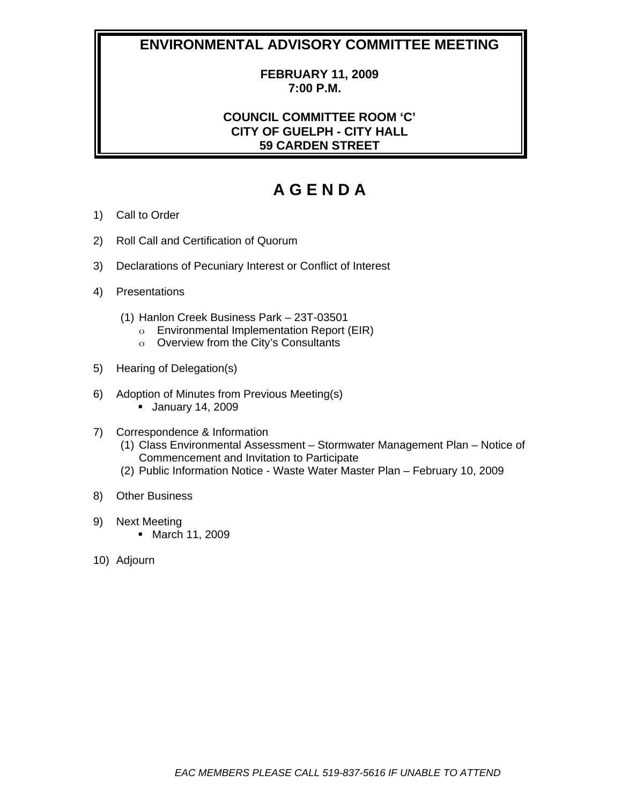# **ENVIRONMENTAL ADVISORY COMMITTEE MEETING**

### **FEBRUARY 11, 2009 7:00 P.M.**

## **COUNCIL COMMITTEE ROOM 'C' CITY OF GUELPH - CITY HALL 59 CARDEN STREET**

# **A G E N D A**

- 1) Call to Order
- 2) Roll Call and Certification of Quorum
- 3) Declarations of Pecuniary Interest or Conflict of Interest
- 4) Presentations
	- (1) Hanlon Creek Business Park 23T-03501
		- o Environmental Implementation Report (EIR)
		- o Overview from the City's Consultants
- 5) Hearing of Delegation(s)
- 6) Adoption of Minutes from Previous Meeting(s)
	- January 14, 2009
- 7) Correspondence & Information
	- (1) Class Environmental Assessment Stormwater Management Plan Notice of Commencement and Invitation to Participate
	- (2) Public Information Notice Waste Water Master Plan February 10, 2009
- 8) Other Business
- 9) Next Meeting
	- March 11, 2009
- 10) Adjourn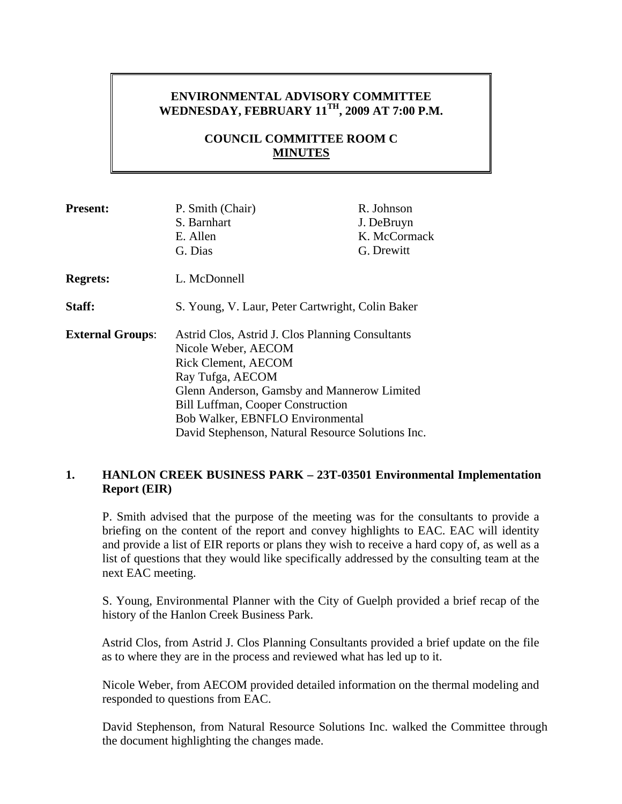## **ENVIRONMENTAL ADVISORY COMMITTEE WEDNESDAY, FEBRUARY 11TH, 2009 AT 7:00 P.M.**

## **COUNCIL COMMITTEE ROOM C MINUTES**

| <b>Present:</b>         | P. Smith (Chair)<br>S. Barnhart<br>E. Allen<br>G. Dias                                                                                                                                                                                                                                                 | R. Johnson<br>J. DeBruyn<br>K. McCormack<br>G. Drewitt |
|-------------------------|--------------------------------------------------------------------------------------------------------------------------------------------------------------------------------------------------------------------------------------------------------------------------------------------------------|--------------------------------------------------------|
| <b>Regrets:</b>         | L. McDonnell                                                                                                                                                                                                                                                                                           |                                                        |
| Staff:                  | S. Young, V. Laur, Peter Cartwright, Colin Baker                                                                                                                                                                                                                                                       |                                                        |
| <b>External Groups:</b> | Astrid Clos, Astrid J. Clos Planning Consultants<br>Nicole Weber, AECOM<br>Rick Clement, AECOM<br>Ray Tufga, AECOM<br>Glenn Anderson, Gamsby and Mannerow Limited<br><b>Bill Luffman, Cooper Construction</b><br>Bob Walker, EBNFLO Environmental<br>David Stephenson, Natural Resource Solutions Inc. |                                                        |

## **1. HANLON CREEK BUSINESS PARK – 23T-03501 Environmental Implementation Report (EIR)**

P. Smith advised that the purpose of the meeting was for the consultants to provide a briefing on the content of the report and convey highlights to EAC. EAC will identity and provide a list of EIR reports or plans they wish to receive a hard copy of, as well as a list of questions that they would like specifically addressed by the consulting team at the next EAC meeting.

S. Young, Environmental Planner with the City of Guelph provided a brief recap of the history of the Hanlon Creek Business Park.

Astrid Clos, from Astrid J. Clos Planning Consultants provided a brief update on the file as to where they are in the process and reviewed what has led up to it.

Nicole Weber, from AECOM provided detailed information on the thermal modeling and responded to questions from EAC.

David Stephenson, from Natural Resource Solutions Inc. walked the Committee through the document highlighting the changes made.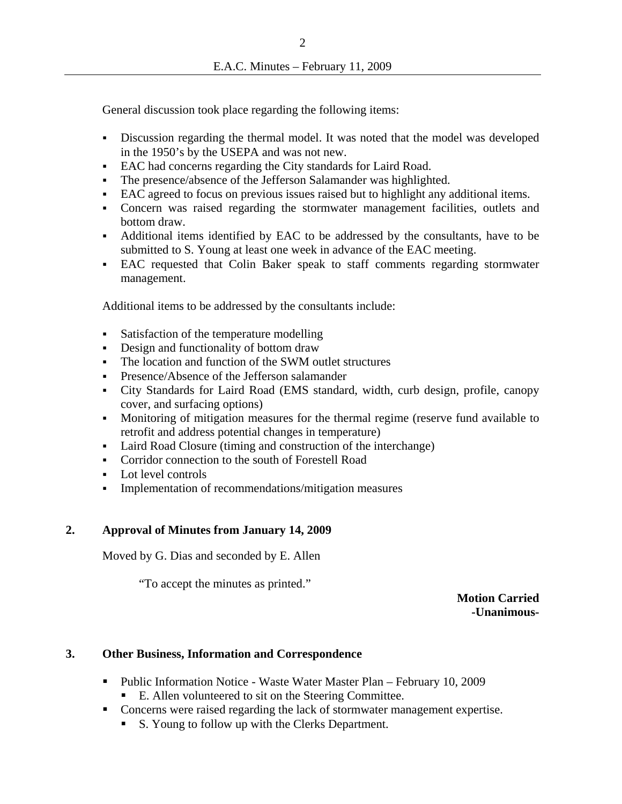General discussion took place regarding the following items:

- Discussion regarding the thermal model. It was noted that the model was developed in the 1950's by the USEPA and was not new.
- EAC had concerns regarding the City standards for Laird Road.
- The presence/absence of the Jefferson Salamander was highlighted.
- EAC agreed to focus on previous issues raised but to highlight any additional items.
- Concern was raised regarding the stormwater management facilities, outlets and bottom draw.
- Additional items identified by EAC to be addressed by the consultants, have to be submitted to S. Young at least one week in advance of the EAC meeting.
- EAC requested that Colin Baker speak to staff comments regarding stormwater management.

Additional items to be addressed by the consultants include:

- Satisfaction of the temperature modelling
- Design and functionality of bottom draw
- The location and function of the SWM outlet structures
- **Presence/Absence of the Jefferson salamander**
- City Standards for Laird Road (EMS standard, width, curb design, profile, canopy cover, and surfacing options)
- Monitoring of mitigation measures for the thermal regime (reserve fund available to retrofit and address potential changes in temperature)
- Laird Road Closure (timing and construction of the interchange)
- **Corridor connection to the south of Forestell Road**
- Lot level controls
- Implementation of recommendations/mitigation measures

### **2. Approval of Minutes from January 14, 2009**

Moved by G. Dias and seconded by E. Allen

"To accept the minutes as printed."

**Motion Carried -Unanimous-**

### **3. Other Business, Information and Correspondence**

- Public Information Notice Waste Water Master Plan February 10, 2009
	- E. Allen volunteered to sit on the Steering Committee.
- Concerns were raised regarding the lack of stormwater management expertise.
	- S. Young to follow up with the Clerks Department.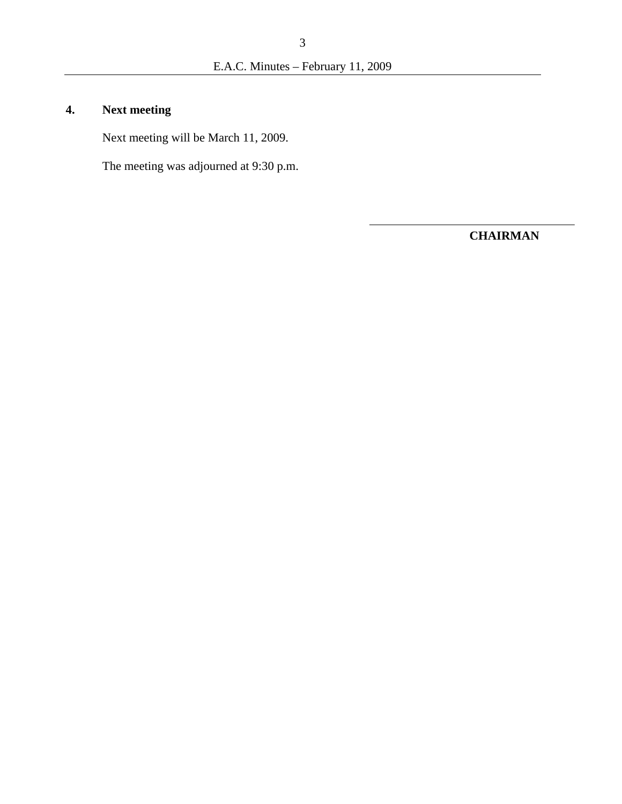# **4. Next meeting**

Next meeting will be March 11, 2009.

The meeting was adjourned at 9:30 p.m.

**CHAIRMAN**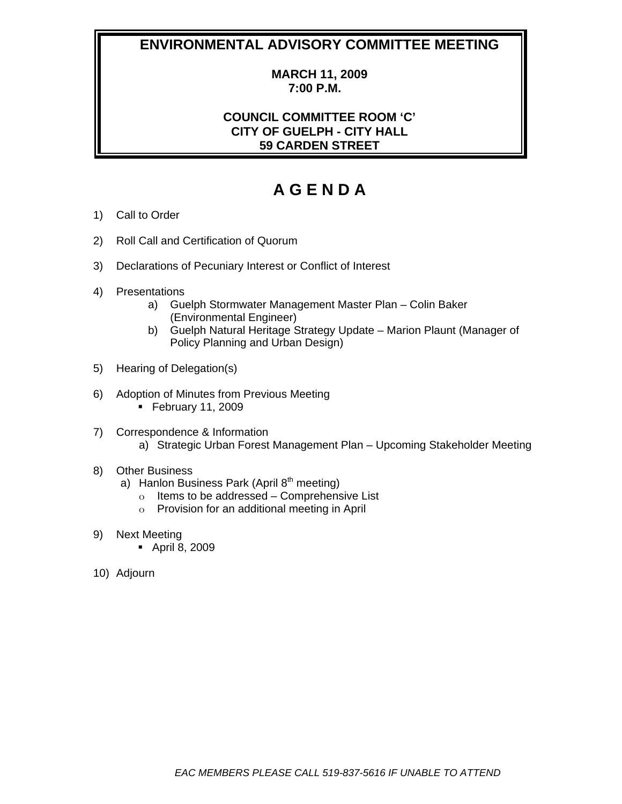## **ENVIRONMENTAL ADVISORY COMMITTEE MEETING**

## **MARCH 11, 2009 7:00 P.M.**

## **COUNCIL COMMITTEE ROOM 'C' CITY OF GUELPH - CITY HALL 59 CARDEN STREET**

# **A G E N D A**

- 1) Call to Order
- 2) Roll Call and Certification of Quorum
- 3) Declarations of Pecuniary Interest or Conflict of Interest
- 4) Presentations
	- a) Guelph Stormwater Management Master Plan Colin Baker (Environmental Engineer)
	- b) Guelph Natural Heritage Strategy Update Marion Plaunt (Manager of Policy Planning and Urban Design)
- 5) Hearing of Delegation(s)
- 6) Adoption of Minutes from Previous Meeting  $\blacksquare$  February 11, 2009
- 7) Correspondence & Information a) Strategic Urban Forest Management Plan – Upcoming Stakeholder Meeting

#### 8) Other Business

- a) Hanlon Business Park (April  $8<sup>th</sup>$  meeting)
	- o Items to be addressed Comprehensive List
	- o Provision for an additional meeting in April
- 9) Next Meeting
	- April 8, 2009
- 10) Adjourn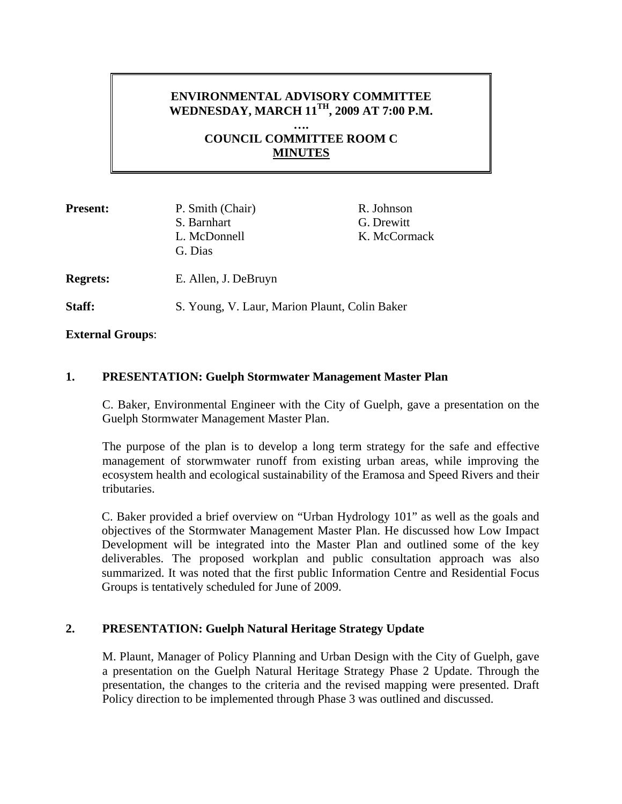## **ENVIRONMENTAL ADVISORY COMMITTEE WEDNESDAY, MARCH 11TH, 2009 AT 7:00 P.M.**

**…. COUNCIL COMMITTEE ROOM C MINUTES**

| <b>Present:</b> | P. Smith (Chair)<br>S. Barnhart<br>L. McDonnell<br>G. Dias | R. Johnson<br>G. Drewitt<br>K. McCormack |
|-----------------|------------------------------------------------------------|------------------------------------------|
| <b>Regrets:</b> | E. Allen, J. DeBruyn                                       |                                          |
| Staff:          | S. Young, V. Laur, Marion Plaunt, Colin Baker              |                                          |

**External Groups**:

### **1. PRESENTATION: Guelph Stormwater Management Master Plan**

C. Baker, Environmental Engineer with the City of Guelph, gave a presentation on the Guelph Stormwater Management Master Plan.

The purpose of the plan is to develop a long term strategy for the safe and effective management of storwmwater runoff from existing urban areas, while improving the ecosystem health and ecological sustainability of the Eramosa and Speed Rivers and their tributaries.

C. Baker provided a brief overview on "Urban Hydrology 101" as well as the goals and objectives of the Stormwater Management Master Plan. He discussed how Low Impact Development will be integrated into the Master Plan and outlined some of the key deliverables. The proposed workplan and public consultation approach was also summarized. It was noted that the first public Information Centre and Residential Focus Groups is tentatively scheduled for June of 2009.

### **2. PRESENTATION: Guelph Natural Heritage Strategy Update**

M. Plaunt, Manager of Policy Planning and Urban Design with the City of Guelph, gave a presentation on the Guelph Natural Heritage Strategy Phase 2 Update. Through the presentation, the changes to the criteria and the revised mapping were presented. Draft Policy direction to be implemented through Phase 3 was outlined and discussed.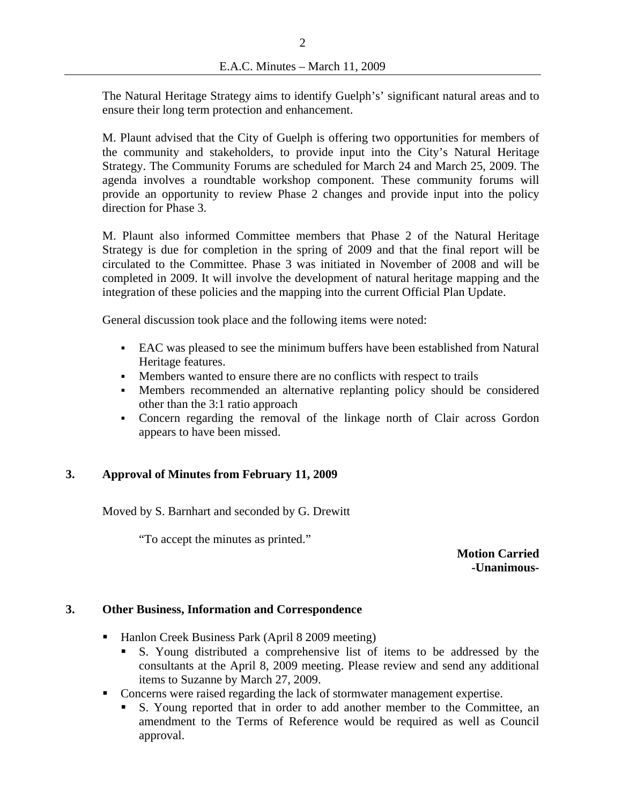The Natural Heritage Strategy aims to identify Guelph's' significant natural areas and to ensure their long term protection and enhancement.

M. Plaunt advised that the City of Guelph is offering two opportunities for members of the community and stakeholders, to provide input into the City's Natural Heritage Strategy. The Community Forums are scheduled for March 24 and March 25, 2009. The agenda involves a roundtable workshop component. These community forums will provide an opportunity to review Phase 2 changes and provide input into the policy direction for Phase 3.

M. Plaunt also informed Committee members that Phase 2 of the Natural Heritage Strategy is due for completion in the spring of 2009 and that the final report will be circulated to the Committee. Phase 3 was initiated in November of 2008 and will be completed in 2009. It will involve the development of natural heritage mapping and the integration of these policies and the mapping into the current Official Plan Update.

General discussion took place and the following items were noted:

- EAC was pleased to see the minimum buffers have been established from Natural Heritage features.
- Members wanted to ensure there are no conflicts with respect to trails
- Members recommended an alternative replanting policy should be considered other than the 3:1 ratio approach
- Concern regarding the removal of the linkage north of Clair across Gordon appears to have been missed.

## **3. Approval of Minutes from February 11, 2009**

Moved by S. Barnhart and seconded by G. Drewitt

"To accept the minutes as printed."

**Motion Carried -Unanimous-**

### **3. Other Business, Information and Correspondence**

- Hanlon Creek Business Park (April 8 2009 meeting)
	- S. Young distributed a comprehensive list of items to be addressed by the consultants at the April 8, 2009 meeting. Please review and send any additional items to Suzanne by March 27, 2009.
- Concerns were raised regarding the lack of stormwater management expertise.
	- S. Young reported that in order to add another member to the Committee, an amendment to the Terms of Reference would be required as well as Council approval.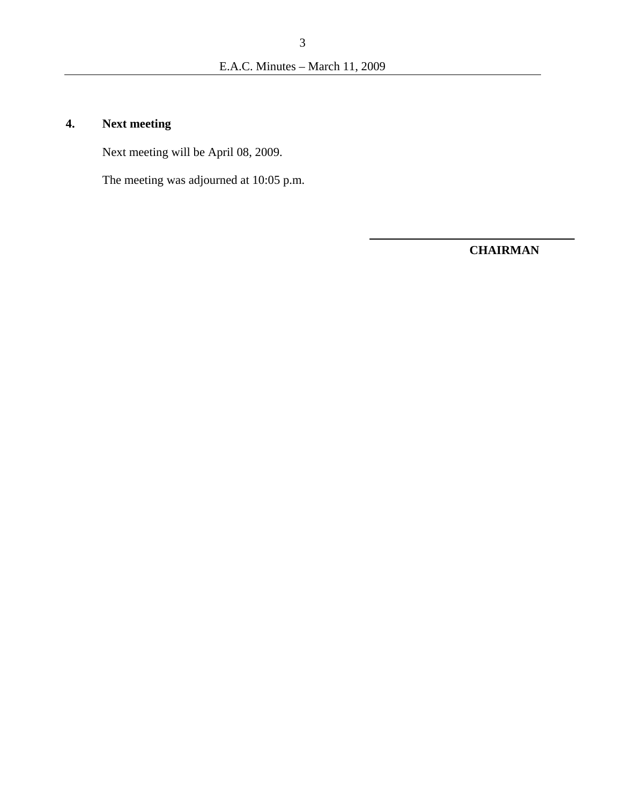# **4. Next meeting**

Next meeting will be April 08, 2009.

The meeting was adjourned at 10:05 p.m.

**CHAIRMAN**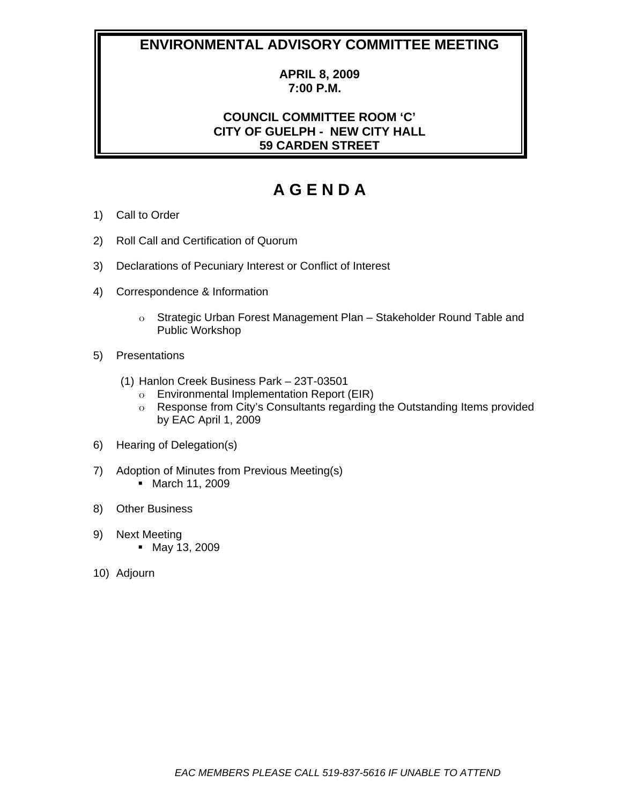## **ENVIRONMENTAL ADVISORY COMMITTEE MEETING**

## **APRIL 8, 2009 7:00 P.M.**

## **COUNCIL COMMITTEE ROOM 'C' CITY OF GUELPH - NEW CITY HALL 59 CARDEN STREET**

# **A G E N D A**

- 1) Call to Order
- 2) Roll Call and Certification of Quorum
- 3) Declarations of Pecuniary Interest or Conflict of Interest
- 4) Correspondence & Information
	- o Strategic Urban Forest Management Plan Stakeholder Round Table and Public Workshop
- 5) Presentations
	- (1) Hanlon Creek Business Park 23T-03501
		- o Environmental Implementation Report (EIR)
		- o Response from City's Consultants regarding the Outstanding Items provided by EAC April 1, 2009
- 6) Hearing of Delegation(s)
- 7) Adoption of Minutes from Previous Meeting(s) March 11, 2009
- 8) Other Business
- 9) Next Meeting May 13, 2009
- 10) Adjourn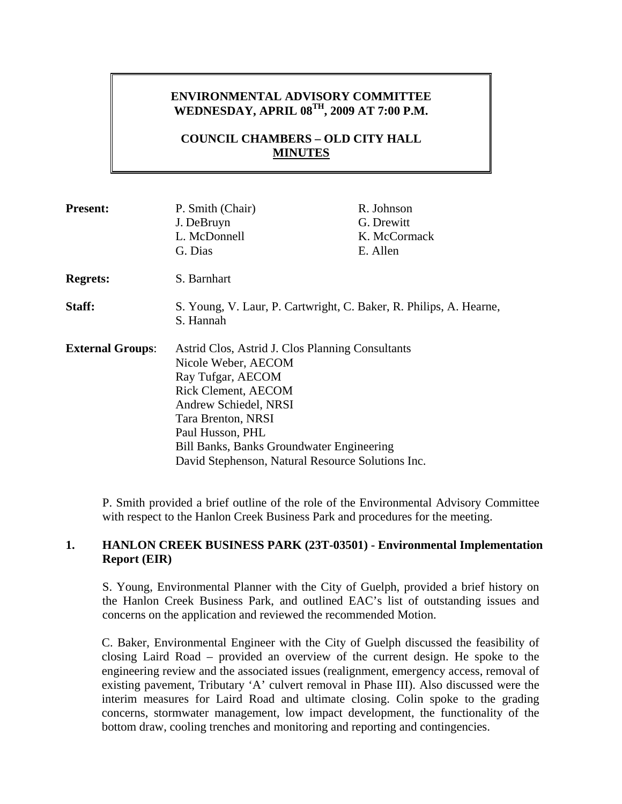## **ENVIRONMENTAL ADVISORY COMMITTEE WEDNESDAY, APRIL 08TH, 2009 AT 7:00 P.M.**

## **COUNCIL CHAMBERS – OLD CITY HALL MINUTES**

| <b>Present:</b>         | P. Smith (Chair)<br>J. DeBruyn<br>L. McDonnell<br>G. Dias                                                                                                                                                                                                                                       | R. Johnson<br>G. Drewitt<br>K. McCormack<br>E. Allen |
|-------------------------|-------------------------------------------------------------------------------------------------------------------------------------------------------------------------------------------------------------------------------------------------------------------------------------------------|------------------------------------------------------|
| <b>Regrets:</b>         | S. Barnhart                                                                                                                                                                                                                                                                                     |                                                      |
| Staff:                  | S. Young, V. Laur, P. Cartwright, C. Baker, R. Philips, A. Hearne,<br>S. Hannah                                                                                                                                                                                                                 |                                                      |
| <b>External Groups:</b> | Astrid Clos, Astrid J. Clos Planning Consultants<br>Nicole Weber, AECOM<br>Ray Tufgar, AECOM<br><b>Rick Clement, AECOM</b><br>Andrew Schiedel, NRSI<br>Tara Brenton, NRSI<br>Paul Husson, PHL<br>Bill Banks, Banks Groundwater Engineering<br>David Stephenson, Natural Resource Solutions Inc. |                                                      |

P. Smith provided a brief outline of the role of the Environmental Advisory Committee with respect to the Hanlon Creek Business Park and procedures for the meeting.

### **1. HANLON CREEK BUSINESS PARK (23T-03501) - Environmental Implementation Report (EIR)**

S. Young, Environmental Planner with the City of Guelph, provided a brief history on the Hanlon Creek Business Park, and outlined EAC's list of outstanding issues and concerns on the application and reviewed the recommended Motion.

C. Baker, Environmental Engineer with the City of Guelph discussed the feasibility of closing Laird Road – provided an overview of the current design. He spoke to the engineering review and the associated issues (realignment, emergency access, removal of existing pavement, Tributary 'A' culvert removal in Phase III). Also discussed were the interim measures for Laird Road and ultimate closing. Colin spoke to the grading concerns, stormwater management, low impact development, the functionality of the bottom draw, cooling trenches and monitoring and reporting and contingencies.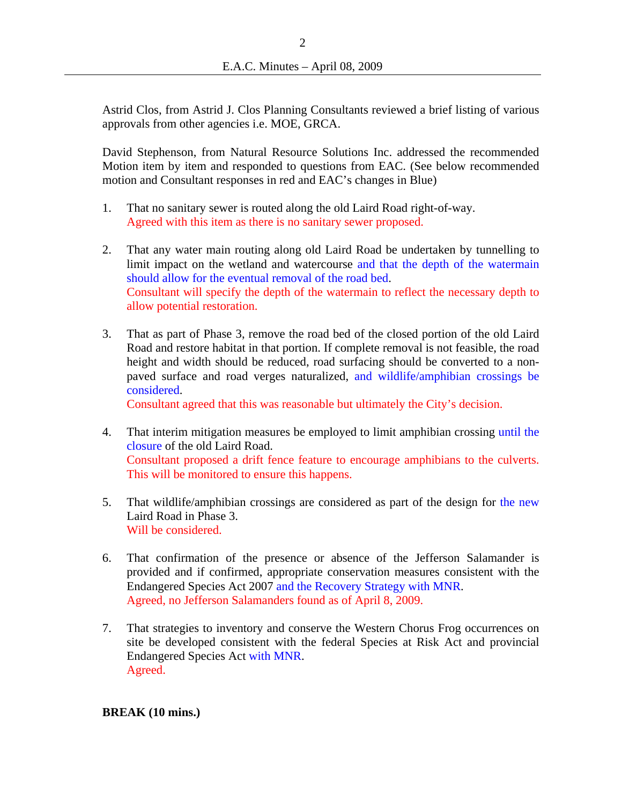Astrid Clos, from Astrid J. Clos Planning Consultants reviewed a brief listing of various approvals from other agencies i.e. MOE, GRCA.

David Stephenson, from Natural Resource Solutions Inc. addressed the recommended Motion item by item and responded to questions from EAC. (See below recommended motion and Consultant responses in red and EAC's changes in Blue)

- 1. That no sanitary sewer is routed along the old Laird Road right-of-way. Agreed with this item as there is no sanitary sewer proposed.
- 2. That any water main routing along old Laird Road be undertaken by tunnelling to limit impact on the wetland and watercourse and that the depth of the watermain should allow for the eventual removal of the road bed. Consultant will specify the depth of the watermain to reflect the necessary depth to allow potential restoration.
- 3. That as part of Phase 3, remove the road bed of the closed portion of the old Laird Road and restore habitat in that portion. If complete removal is not feasible, the road height and width should be reduced, road surfacing should be converted to a nonpaved surface and road verges naturalized, and wildlife/amphibian crossings be considered.

Consultant agreed that this was reasonable but ultimately the City's decision.

- 4. That interim mitigation measures be employed to limit amphibian crossing until the closure of the old Laird Road. Consultant proposed a drift fence feature to encourage amphibians to the culverts. This will be monitored to ensure this happens.
- 5. That wildlife/amphibian crossings are considered as part of the design for the new Laird Road in Phase 3. Will be considered.
- 6. That confirmation of the presence or absence of the Jefferson Salamander is provided and if confirmed, appropriate conservation measures consistent with the Endangered Species Act 2007 and the Recovery Strategy with MNR. Agreed, no Jefferson Salamanders found as of April 8, 2009.
- 7. That strategies to inventory and conserve the Western Chorus Frog occurrences on site be developed consistent with the federal Species at Risk Act and provincial Endangered Species Act with MNR. Agreed.

### **BREAK (10 mins.)**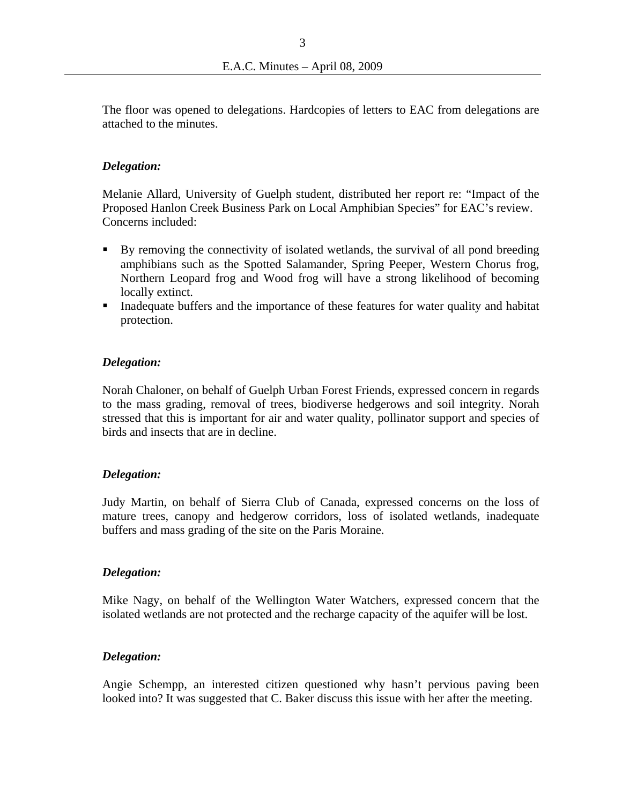The floor was opened to delegations. Hardcopies of letters to EAC from delegations are attached to the minutes.

## *Delegation:*

Melanie Allard, University of Guelph student, distributed her report re: "Impact of the Proposed Hanlon Creek Business Park on Local Amphibian Species" for EAC's review. Concerns included:

- By removing the connectivity of isolated wetlands, the survival of all pond breeding amphibians such as the Spotted Salamander, Spring Peeper, Western Chorus frog, Northern Leopard frog and Wood frog will have a strong likelihood of becoming locally extinct.
- Inadequate buffers and the importance of these features for water quality and habitat protection.

## *Delegation:*

Norah Chaloner, on behalf of Guelph Urban Forest Friends, expressed concern in regards to the mass grading, removal of trees, biodiverse hedgerows and soil integrity. Norah stressed that this is important for air and water quality, pollinator support and species of birds and insects that are in decline.

### *Delegation:*

Judy Martin, on behalf of Sierra Club of Canada, expressed concerns on the loss of mature trees, canopy and hedgerow corridors, loss of isolated wetlands, inadequate buffers and mass grading of the site on the Paris Moraine.

### *Delegation:*

Mike Nagy, on behalf of the Wellington Water Watchers, expressed concern that the isolated wetlands are not protected and the recharge capacity of the aquifer will be lost.

### *Delegation:*

Angie Schempp, an interested citizen questioned why hasn't pervious paving been looked into? It was suggested that C. Baker discuss this issue with her after the meeting.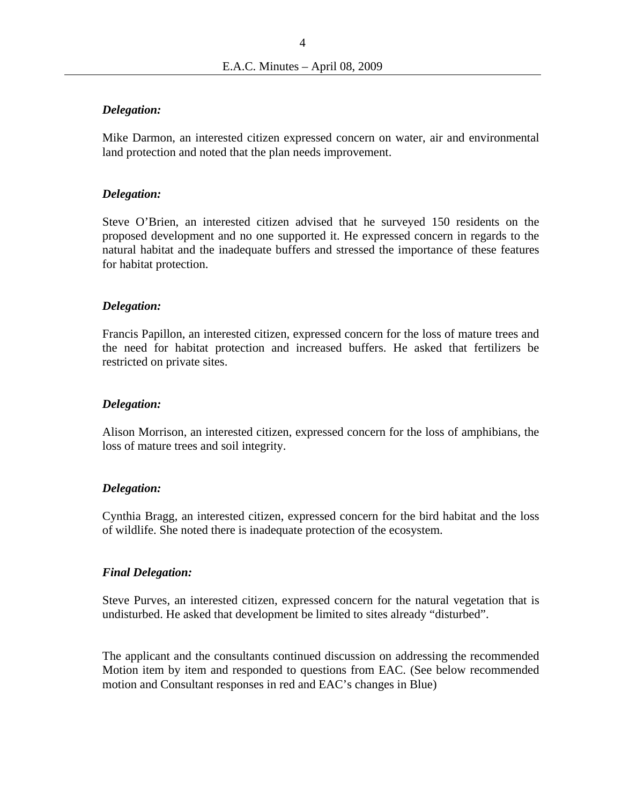#### *Delegation:*

Mike Darmon, an interested citizen expressed concern on water, air and environmental land protection and noted that the plan needs improvement.

#### *Delegation:*

Steve O'Brien, an interested citizen advised that he surveyed 150 residents on the proposed development and no one supported it. He expressed concern in regards to the natural habitat and the inadequate buffers and stressed the importance of these features for habitat protection.

#### *Delegation:*

Francis Papillon, an interested citizen, expressed concern for the loss of mature trees and the need for habitat protection and increased buffers. He asked that fertilizers be restricted on private sites.

#### *Delegation:*

Alison Morrison, an interested citizen, expressed concern for the loss of amphibians, the loss of mature trees and soil integrity.

#### *Delegation:*

Cynthia Bragg, an interested citizen, expressed concern for the bird habitat and the loss of wildlife. She noted there is inadequate protection of the ecosystem.

#### *Final Delegation:*

Steve Purves, an interested citizen, expressed concern for the natural vegetation that is undisturbed. He asked that development be limited to sites already "disturbed".

The applicant and the consultants continued discussion on addressing the recommended Motion item by item and responded to questions from EAC. (See below recommended motion and Consultant responses in red and EAC's changes in Blue)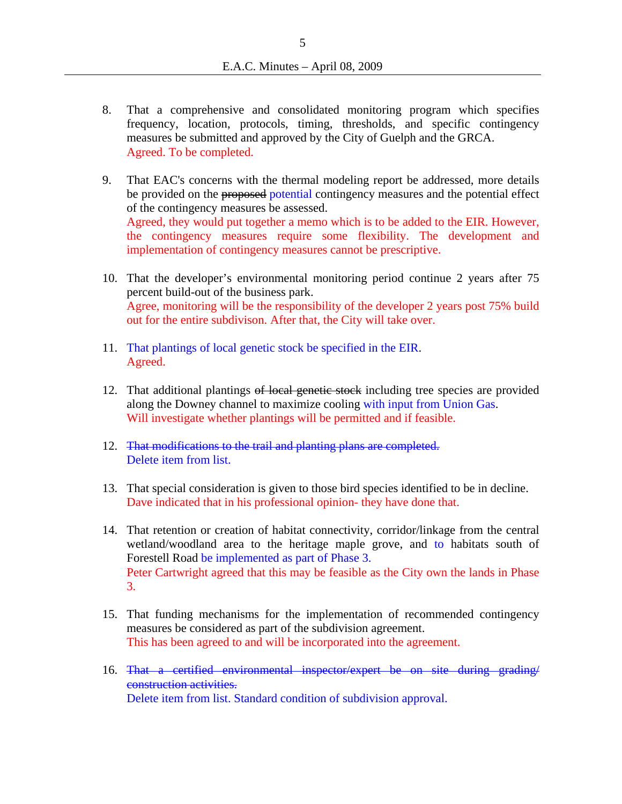- 8. That a comprehensive and consolidated monitoring program which specifies frequency, location, protocols, timing, thresholds, and specific contingency measures be submitted and approved by the City of Guelph and the GRCA. Agreed. To be completed.
- 9. That EAC's concerns with the thermal modeling report be addressed, more details be provided on the proposed potential contingency measures and the potential effect of the contingency measures be assessed. Agreed, they would put together a memo which is to be added to the EIR. However, the contingency measures require some flexibility. The development and implementation of contingency measures cannot be prescriptive.
- 10. That the developer's environmental monitoring period continue 2 years after 75 percent build-out of the business park. Agree, monitoring will be the responsibility of the developer 2 years post 75% build out for the entire subdivison. After that, the City will take over.
- 11. That plantings of local genetic stock be specified in the EIR. Agreed.
- 12. That additional plantings of local genetic stock including tree species are provided along the Downey channel to maximize cooling with input from Union Gas. Will investigate whether plantings will be permitted and if feasible.
- 12. That modifications to the trail and planting plans are completed. Delete item from list.
- 13. That special consideration is given to those bird species identified to be in decline. Dave indicated that in his professional opinion- they have done that.
- 14. That retention or creation of habitat connectivity, corridor/linkage from the central wetland/woodland area to the heritage maple grove, and to habitats south of Forestell Road be implemented as part of Phase 3. Peter Cartwright agreed that this may be feasible as the City own the lands in Phase 3.
- 15. That funding mechanisms for the implementation of recommended contingency measures be considered as part of the subdivision agreement. This has been agreed to and will be incorporated into the agreement.
- 16. That a certified environmental inspector/expert be on site during grading/ construction activities. Delete item from list. Standard condition of subdivision approval.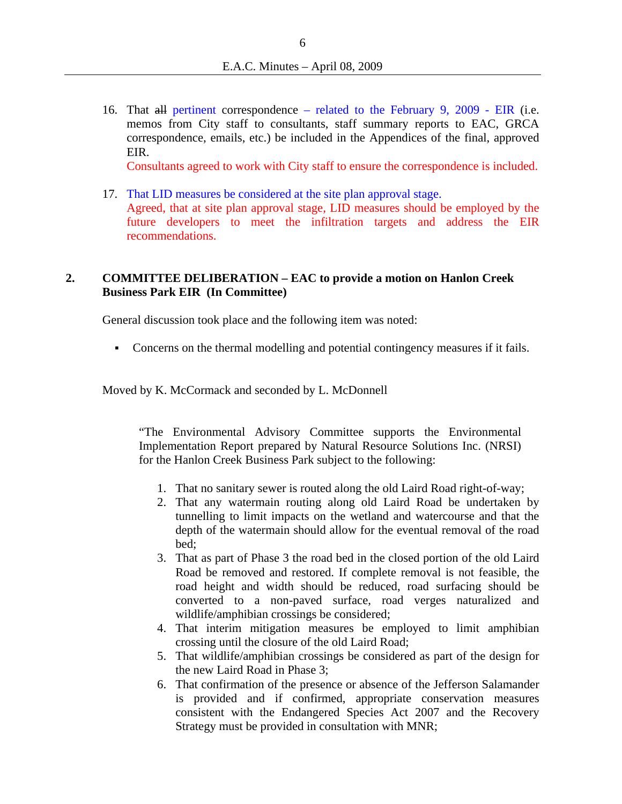16. That all pertinent correspondence – related to the February 9, 2009 - EIR (i.e. memos from City staff to consultants, staff summary reports to EAC, GRCA correspondence, emails, etc.) be included in the Appendices of the final, approved EIR.

Consultants agreed to work with City staff to ensure the correspondence is included.

17. That LID measures be considered at the site plan approval stage. Agreed, that at site plan approval stage, LID measures should be employed by the future developers to meet the infiltration targets and address the EIR recommendations.

### **2. COMMITTEE DELIBERATION – EAC to provide a motion on Hanlon Creek Business Park EIR (In Committee)**

General discussion took place and the following item was noted:

Concerns on the thermal modelling and potential contingency measures if it fails.

Moved by K. McCormack and seconded by L. McDonnell

"The Environmental Advisory Committee supports the Environmental Implementation Report prepared by Natural Resource Solutions Inc. (NRSI) for the Hanlon Creek Business Park subject to the following:

- 1. That no sanitary sewer is routed along the old Laird Road right-of-way;
- 2. That any watermain routing along old Laird Road be undertaken by tunnelling to limit impacts on the wetland and watercourse and that the depth of the watermain should allow for the eventual removal of the road bed;
- 3. That as part of Phase 3 the road bed in the closed portion of the old Laird Road be removed and restored. If complete removal is not feasible, the road height and width should be reduced, road surfacing should be converted to a non-paved surface, road verges naturalized and wildlife/amphibian crossings be considered;
- 4. That interim mitigation measures be employed to limit amphibian crossing until the closure of the old Laird Road;
- 5. That wildlife/amphibian crossings be considered as part of the design for the new Laird Road in Phase 3;
- 6. That confirmation of the presence or absence of the Jefferson Salamander is provided and if confirmed, appropriate conservation measures consistent with the Endangered Species Act 2007 and the Recovery Strategy must be provided in consultation with MNR;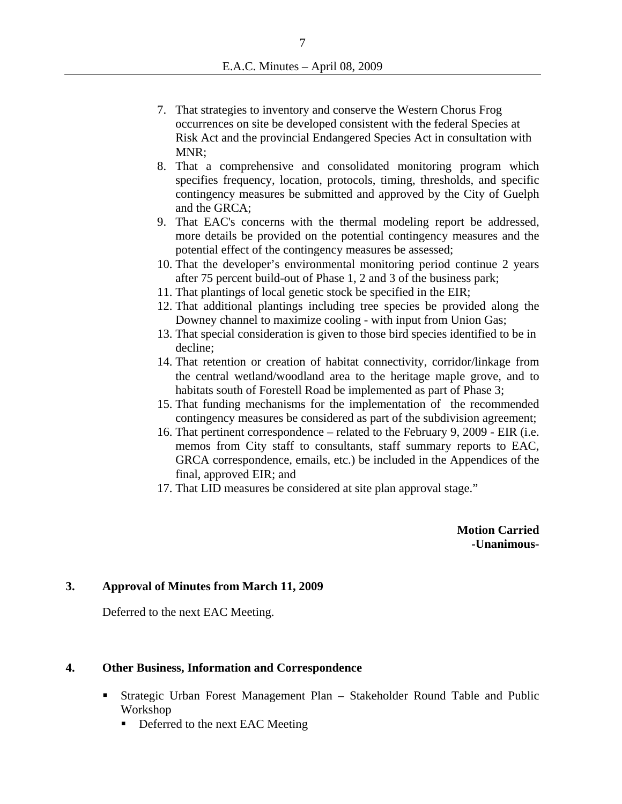- 7. That strategies to inventory and conserve the Western Chorus Frog occurrences on site be developed consistent with the federal Species at Risk Act and the provincial Endangered Species Act in consultation with MNR:
- 8. That a comprehensive and consolidated monitoring program which specifies frequency, location, protocols, timing, thresholds, and specific contingency measures be submitted and approved by the City of Guelph and the GRCA;
- 9. That EAC's concerns with the thermal modeling report be addressed, more details be provided on the potential contingency measures and the potential effect of the contingency measures be assessed;
- 10. That the developer's environmental monitoring period continue 2 years after 75 percent build-out of Phase 1, 2 and 3 of the business park;
- 11. That plantings of local genetic stock be specified in the EIR;
- 12. That additional plantings including tree species be provided along the Downey channel to maximize cooling - with input from Union Gas;
- 13. That special consideration is given to those bird species identified to be in decline;
- 14. That retention or creation of habitat connectivity, corridor/linkage from the central wetland/woodland area to the heritage maple grove, and to habitats south of Forestell Road be implemented as part of Phase 3;
- 15. That funding mechanisms for the implementation of the recommended contingency measures be considered as part of the subdivision agreement;
- 16. That pertinent correspondence related to the February 9, 2009 EIR (i.e. memos from City staff to consultants, staff summary reports to EAC, GRCA correspondence, emails, etc.) be included in the Appendices of the final, approved EIR; and
- 17. That LID measures be considered at site plan approval stage."

**Motion Carried -Unanimous-**

## **3. Approval of Minutes from March 11, 2009**

Deferred to the next EAC Meeting.

#### **4. Other Business, Information and Correspondence**

- Strategic Urban Forest Management Plan Stakeholder Round Table and Public Workshop
	- Deferred to the next EAC Meeting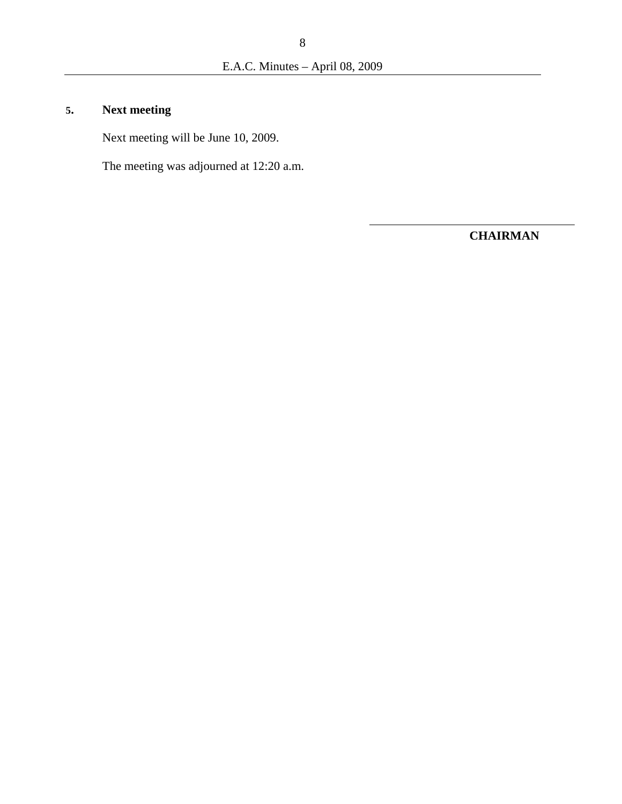# **5. Next meeting**

Next meeting will be June 10, 2009.

The meeting was adjourned at 12:20 a.m.

**CHAIRMAN**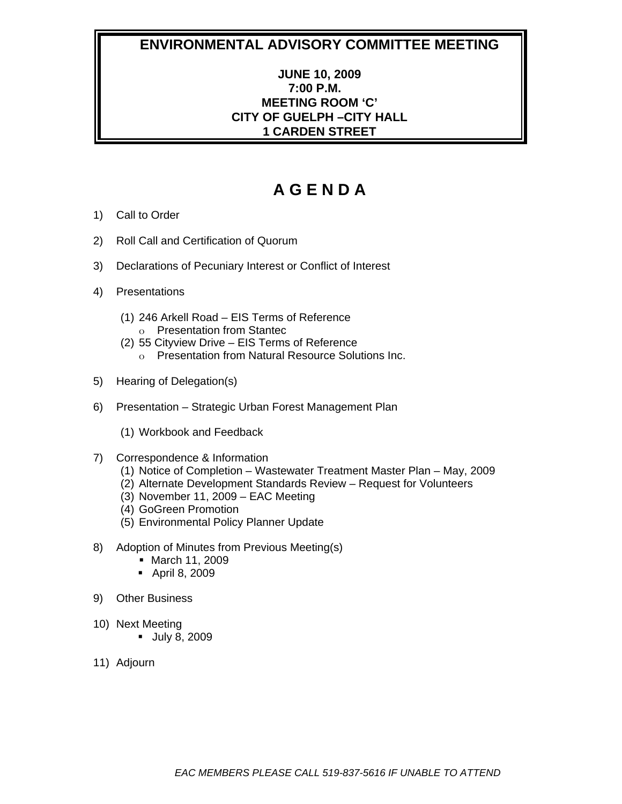## **ENVIRONMENTAL ADVISORY COMMITTEE MEETING**

## **JUNE 10, 2009 7:00 P.M. MEETING ROOM 'C' CITY OF GUELPH –CITY HALL 1 CARDEN STREET**

# **A G E N D A**

- 1) Call to Order
- 2) Roll Call and Certification of Quorum
- 3) Declarations of Pecuniary Interest or Conflict of Interest
- 4) Presentations
	- (1) 246 Arkell Road EIS Terms of Reference o Presentation from Stantec
	- (2) 55 Cityview Drive EIS Terms of Reference
		- o Presentation from Natural Resource Solutions Inc.
- 5) Hearing of Delegation(s)
- 6) Presentation Strategic Urban Forest Management Plan
	- (1) Workbook and Feedback
- 7) Correspondence & Information
	- (1) Notice of Completion Wastewater Treatment Master Plan May, 2009
	- (2) Alternate Development Standards Review Request for Volunteers
	- (3) November 11, 2009 EAC Meeting
	- (4) GoGreen Promotion
	- (5) Environmental Policy Planner Update
- 8) Adoption of Minutes from Previous Meeting(s)
	- March 11, 2009
	- April 8, 2009
- 9) Other Business
- 10) Next Meeting
	- July 8, 2009
- 11) Adjourn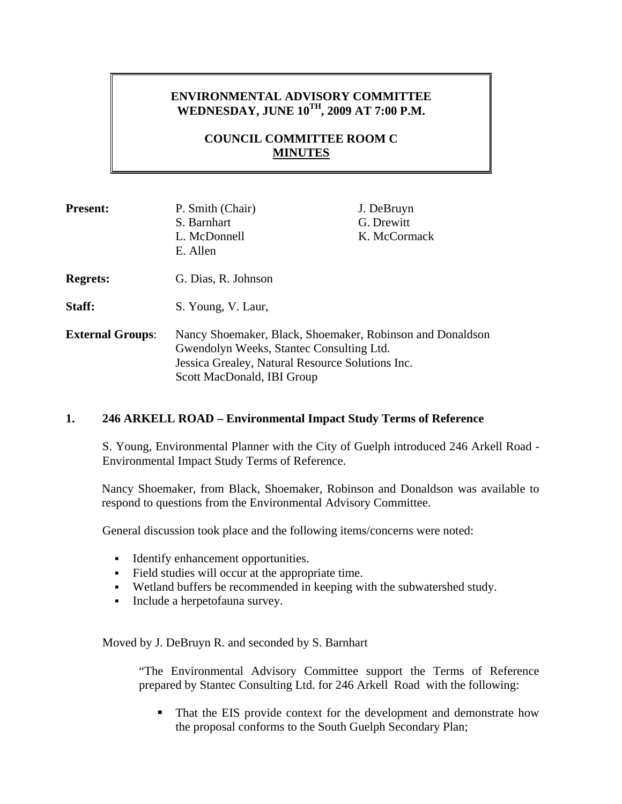## **ENVIRONMENTAL ADVISORY COMMITTEE WEDNESDAY, JUNE 10TH, 2009 AT 7:00 P.M.**

## **COUNCIL COMMITTEE ROOM C MINUTES**

| <b>Present:</b>         | P. Smith (Chair)<br>S. Barnhart<br>L. McDonnell<br>E. Allen                                                                                                                             | J. DeBruyn<br>G. Drewitt<br>K. McCormack |
|-------------------------|-----------------------------------------------------------------------------------------------------------------------------------------------------------------------------------------|------------------------------------------|
| <b>Regrets:</b>         | G. Dias, R. Johnson                                                                                                                                                                     |                                          |
| Staff:                  | S. Young, V. Laur,                                                                                                                                                                      |                                          |
| <b>External Groups:</b> | Nancy Shoemaker, Black, Shoemaker, Robinson and Donaldson<br>Gwendolyn Weeks, Stantec Consulting Ltd.<br>Jessica Grealey, Natural Resource Solutions Inc.<br>Scott MacDonald, IBI Group |                                          |

## **1. 246 ARKELL ROAD – Environmental Impact Study Terms of Reference**

S. Young, Environmental Planner with the City of Guelph introduced 246 Arkell Road - Environmental Impact Study Terms of Reference.

Nancy Shoemaker, from Black, Shoemaker, Robinson and Donaldson was available to respond to questions from the Environmental Advisory Committee.

General discussion took place and the following items/concerns were noted:

- Identify enhancement opportunities.
- Field studies will occur at the appropriate time.
- Wetland buffers be recommended in keeping with the subwatershed study.
- Include a herpetofauna survey.

Moved by J. DeBruyn R. and seconded by S. Barnhart

"The Environmental Advisory Committee support the Terms of Reference prepared by Stantec Consulting Ltd. for 246 Arkell Road with the following:

• That the EIS provide context for the development and demonstrate how the proposal conforms to the South Guelph Secondary Plan;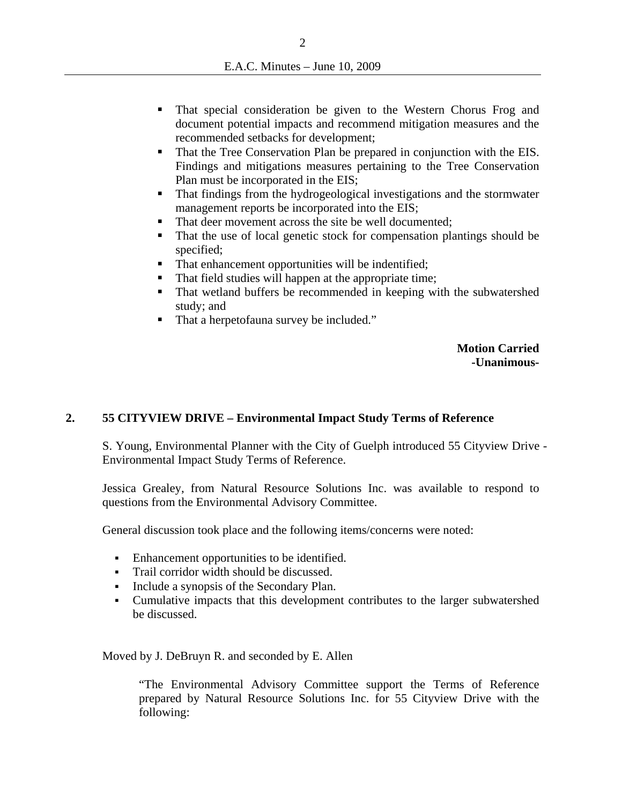- That special consideration be given to the Western Chorus Frog and document potential impacts and recommend mitigation measures and the recommended setbacks for development;
- That the Tree Conservation Plan be prepared in conjunction with the EIS. Findings and mitigations measures pertaining to the Tree Conservation Plan must be incorporated in the EIS;
- That findings from the hydrogeological investigations and the stormwater management reports be incorporated into the EIS;
- That deer movement across the site be well documented;
- That the use of local genetic stock for compensation plantings should be specified;
- That enhancement opportunities will be indentified;
- That field studies will happen at the appropriate time;
- That wetland buffers be recommended in keeping with the subwatershed study; and
- That a herpetofauna survey be included."

**Motion Carried -Unanimous-**

## **2. 55 CITYVIEW DRIVE – Environmental Impact Study Terms of Reference**

S. Young, Environmental Planner with the City of Guelph introduced 55 Cityview Drive - Environmental Impact Study Terms of Reference.

Jessica Grealey, from Natural Resource Solutions Inc. was available to respond to questions from the Environmental Advisory Committee.

General discussion took place and the following items/concerns were noted:

- Enhancement opportunities to be identified.
- Trail corridor width should be discussed.
- Include a synopsis of the Secondary Plan.
- Cumulative impacts that this development contributes to the larger subwatershed be discussed.

Moved by J. DeBruyn R. and seconded by E. Allen

"The Environmental Advisory Committee support the Terms of Reference prepared by Natural Resource Solutions Inc. for 55 Cityview Drive with the following: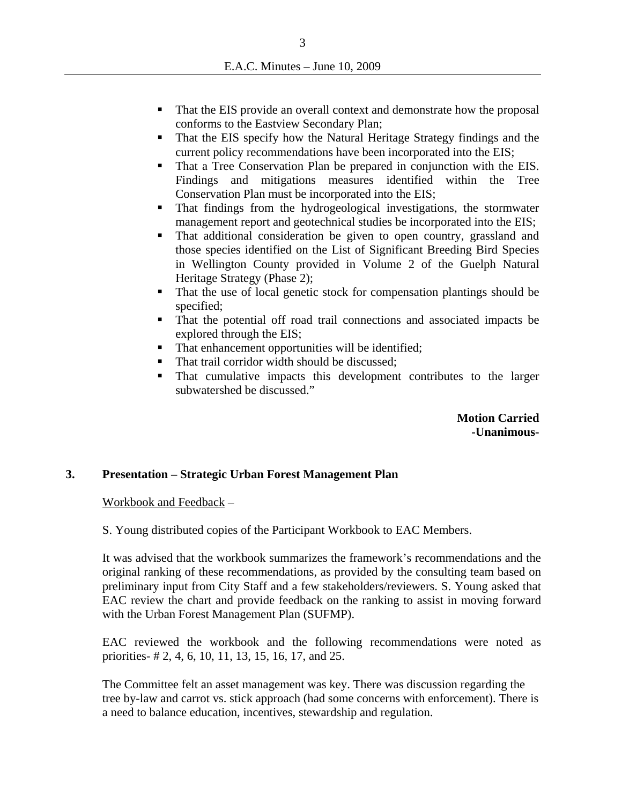- That the EIS provide an overall context and demonstrate how the proposal conforms to the Eastview Secondary Plan;
- That the EIS specify how the Natural Heritage Strategy findings and the current policy recommendations have been incorporated into the EIS;
- That a Tree Conservation Plan be prepared in conjunction with the EIS. Findings and mitigations measures identified within the Tree Conservation Plan must be incorporated into the EIS;
- That findings from the hydrogeological investigations, the stormwater management report and geotechnical studies be incorporated into the EIS;
- That additional consideration be given to open country, grassland and those species identified on the List of Significant Breeding Bird Species in Wellington County provided in Volume 2 of the Guelph Natural Heritage Strategy (Phase 2);
- That the use of local genetic stock for compensation plantings should be specified;
- That the potential off road trail connections and associated impacts be explored through the EIS;
- That enhancement opportunities will be identified;
- That trail corridor width should be discussed;
- That cumulative impacts this development contributes to the larger subwatershed be discussed."

## **Motion Carried -Unanimous-**

### **3. Presentation – Strategic Urban Forest Management Plan**

Workbook and Feedback –

S. Young distributed copies of the Participant Workbook to EAC Members.

It was advised that the workbook summarizes the framework's recommendations and the original ranking of these recommendations, as provided by the consulting team based on preliminary input from City Staff and a few stakeholders/reviewers. S. Young asked that EAC review the chart and provide feedback on the ranking to assist in moving forward with the Urban Forest Management Plan (SUFMP).

EAC reviewed the workbook and the following recommendations were noted as priorities- # 2, 4, 6, 10, 11, 13, 15, 16, 17, and 25.

The Committee felt an asset management was key. There was discussion regarding the tree by-law and carrot vs. stick approach (had some concerns with enforcement). There is a need to balance education, incentives, stewardship and regulation.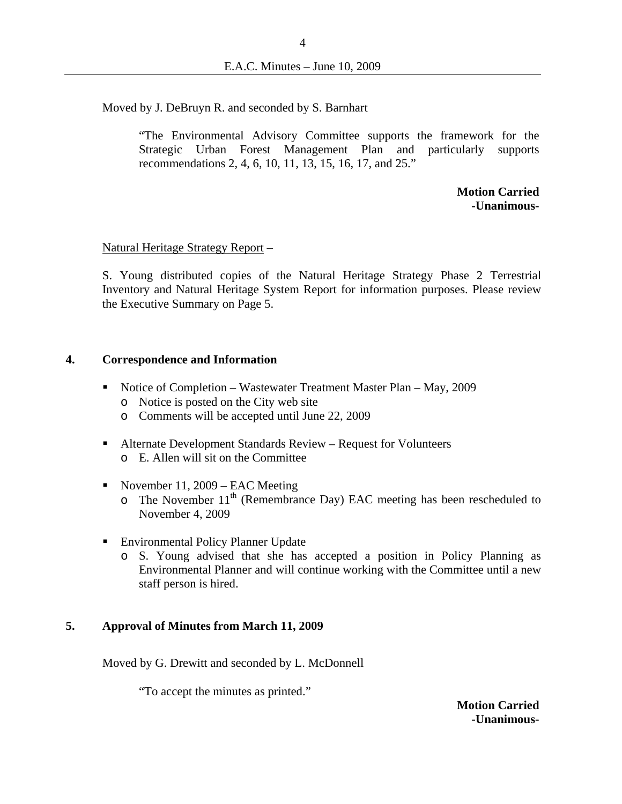Moved by J. DeBruyn R. and seconded by S. Barnhart

"The Environmental Advisory Committee supports the framework for the Strategic Urban Forest Management Plan and particularly supports recommendations 2, 4, 6, 10, 11, 13, 15, 16, 17, and 25."

> **Motion Carried -Unanimous-**

#### Natural Heritage Strategy Report –

S. Young distributed copies of the Natural Heritage Strategy Phase 2 Terrestrial Inventory and Natural Heritage System Report for information purposes. Please review the Executive Summary on Page 5.

#### **4. Correspondence and Information**

- Notice of Completion Wastewater Treatment Master Plan May, 2009
	- o Notice is posted on the City web site
	- o Comments will be accepted until June 22, 2009
- Alternate Development Standards Review Request for Volunteers o E. Allen will sit on the Committee
- November 11, 2009 EAC Meeting
	- $\circ$  The November 11<sup>th</sup> (Remembrance Day) EAC meeting has been rescheduled to November 4, 2009
- **Environmental Policy Planner Update** 
	- o S. Young advised that she has accepted a position in Policy Planning as Environmental Planner and will continue working with the Committee until a new staff person is hired.

### **5. Approval of Minutes from March 11, 2009**

Moved by G. Drewitt and seconded by L. McDonnell

"To accept the minutes as printed."

**Motion Carried -Unanimous-**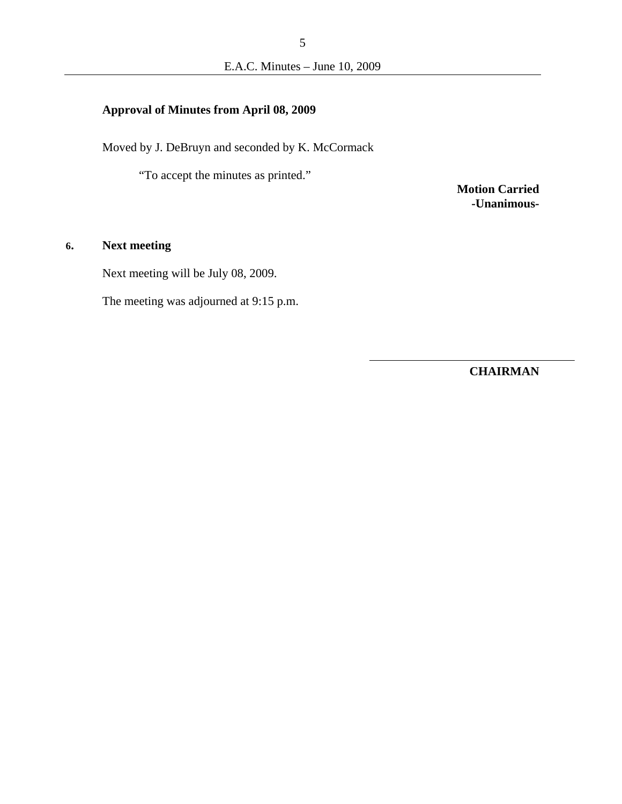## **Approval of Minutes from April 08, 2009**

Moved by J. DeBruyn and seconded by K. McCormack

"To accept the minutes as printed."

**Motion Carried -Unanimous-**

## **6. Next meeting**

Next meeting will be July 08, 2009.

The meeting was adjourned at 9:15 p.m.

**CHAIRMAN**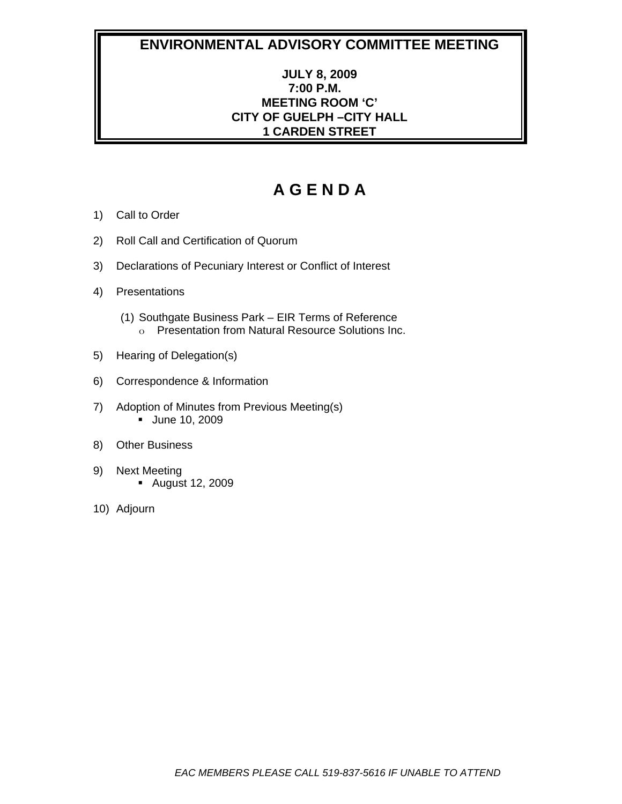## **ENVIRONMENTAL ADVISORY COMMITTEE MEETING**

## **JULY 8, 2009 7:00 P.M. MEETING ROOM 'C' CITY OF GUELPH –CITY HALL 1 CARDEN STREET**

# **A G E N D A**

- 1) Call to Order
- 2) Roll Call and Certification of Quorum
- 3) Declarations of Pecuniary Interest or Conflict of Interest
- 4) Presentations
	- (1) Southgate Business Park EIR Terms of Reference o Presentation from Natural Resource Solutions Inc.
- 5) Hearing of Delegation(s)
- 6) Correspondence & Information
- 7) Adoption of Minutes from Previous Meeting(s) June 10, 2009
- 8) Other Business
- 9) Next Meeting August 12, 2009
- 10) Adjourn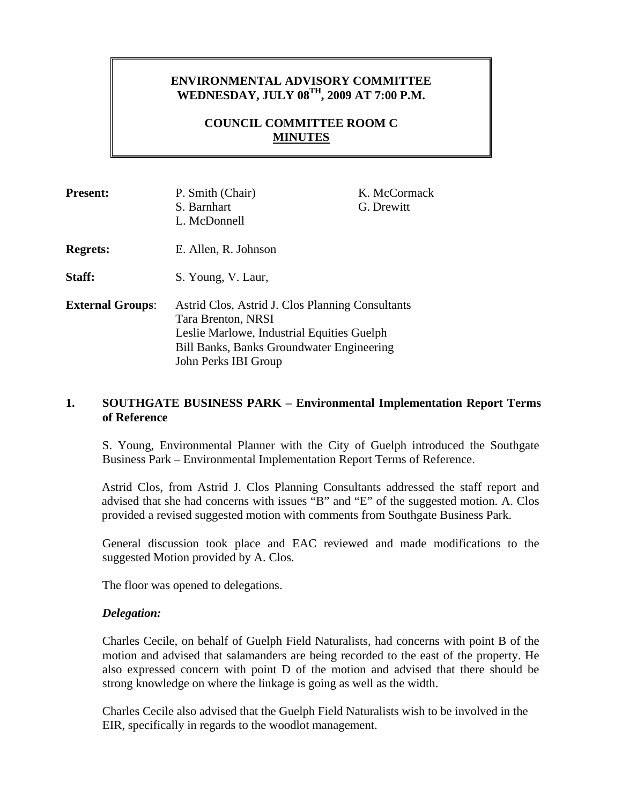## **ENVIRONMENTAL ADVISORY COMMITTEE WEDNESDAY, JULY 08TH, 2009 AT 7:00 P.M.**

## **COUNCIL COMMITTEE ROOM C MINUTES**

| <b>Present:</b>         | P. Smith (Chair)<br>S. Barnhart<br>L. McDonnell                                                                                                                                                  | K. McCormack<br>G. Drewitt |
|-------------------------|--------------------------------------------------------------------------------------------------------------------------------------------------------------------------------------------------|----------------------------|
| <b>Regrets:</b>         | E. Allen, R. Johnson                                                                                                                                                                             |                            |
| Staff:                  | S. Young, V. Laur,                                                                                                                                                                               |                            |
| <b>External Groups:</b> | Astrid Clos, Astrid J. Clos Planning Consultants<br>Tara Brenton, NRSI<br>Leslie Marlowe, Industrial Equities Guelph<br><b>Bill Banks, Banks Groundwater Engineering</b><br>John Perks IBI Group |                            |

### **1. SOUTHGATE BUSINESS PARK – Environmental Implementation Report Terms of Reference**

S. Young, Environmental Planner with the City of Guelph introduced the Southgate Business Park – Environmental Implementation Report Terms of Reference.

Astrid Clos, from Astrid J. Clos Planning Consultants addressed the staff report and advised that she had concerns with issues "B" and "E" of the suggested motion. A. Clos provided a revised suggested motion with comments from Southgate Business Park.

General discussion took place and EAC reviewed and made modifications to the suggested Motion provided by A. Clos.

The floor was opened to delegations.

### *Delegation:*

Charles Cecile, on behalf of Guelph Field Naturalists, had concerns with point B of the motion and advised that salamanders are being recorded to the east of the property. He also expressed concern with point D of the motion and advised that there should be strong knowledge on where the linkage is going as well as the width.

Charles Cecile also advised that the Guelph Field Naturalists wish to be involved in the EIR, specifically in regards to the woodlot management.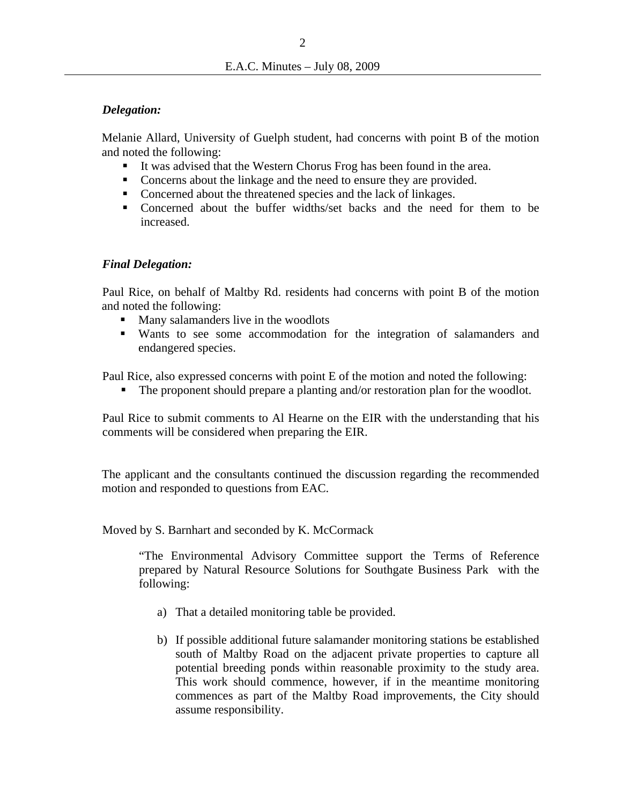### *Delegation:*

Melanie Allard, University of Guelph student, had concerns with point B of the motion and noted the following:

- It was advised that the Western Chorus Frog has been found in the area.
- Concerns about the linkage and the need to ensure they are provided.
- Concerned about the threatened species and the lack of linkages.
- Concerned about the buffer widths/set backs and the need for them to be increased.

## *Final Delegation:*

 Paul Rice, on behalf of Maltby Rd. residents had concerns with point B of the motion and noted the following:

- Many salamanders live in the woodlots
- Wants to see some accommodation for the integration of salamanders and endangered species.

Paul Rice, also expressed concerns with point E of the motion and noted the following:

The proponent should prepare a planting and/or restoration plan for the woodlot.

Paul Rice to submit comments to Al Hearne on the EIR with the understanding that his comments will be considered when preparing the EIR.

The applicant and the consultants continued the discussion regarding the recommended motion and responded to questions from EAC.

Moved by S. Barnhart and seconded by K. McCormack

"The Environmental Advisory Committee support the Terms of Reference prepared by Natural Resource Solutions for Southgate Business Park with the following:

- a) That a detailed monitoring table be provided.
- b) If possible additional future salamander monitoring stations be established south of Maltby Road on the adjacent private properties to capture all potential breeding ponds within reasonable proximity to the study area. This work should commence, however, if in the meantime monitoring commences as part of the Maltby Road improvements, the City should assume responsibility.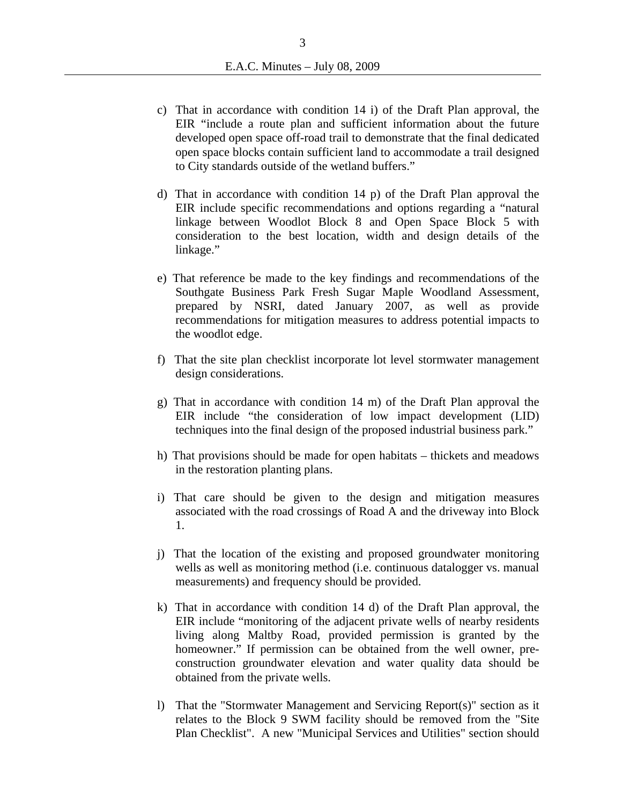- c) That in accordance with condition 14 i) of the Draft Plan approval, the EIR "include a route plan and sufficient information about the future developed open space off-road trail to demonstrate that the final dedicated open space blocks contain sufficient land to accommodate a trail designed to City standards outside of the wetland buffers."
- d) That in accordance with condition 14 p) of the Draft Plan approval the EIR include specific recommendations and options regarding a "natural linkage between Woodlot Block 8 and Open Space Block 5 with consideration to the best location, width and design details of the linkage."
- e) That reference be made to the key findings and recommendations of the Southgate Business Park Fresh Sugar Maple Woodland Assessment, prepared by NSRI, dated January 2007, as well as provide recommendations for mitigation measures to address potential impacts to the woodlot edge.
- f) That the site plan checklist incorporate lot level stormwater management design considerations.
- g) That in accordance with condition 14 m) of the Draft Plan approval the EIR include "the consideration of low impact development (LID) techniques into the final design of the proposed industrial business park."
- h) That provisions should be made for open habitats thickets and meadows in the restoration planting plans.
- i) That care should be given to the design and mitigation measures associated with the road crossings of Road A and the driveway into Block 1.
- j) That the location of the existing and proposed groundwater monitoring wells as well as monitoring method (i.e. continuous datalogger vs. manual measurements) and frequency should be provided.
- k) That in accordance with condition 14 d) of the Draft Plan approval, the EIR include "monitoring of the adjacent private wells of nearby residents living along Maltby Road, provided permission is granted by the homeowner." If permission can be obtained from the well owner, preconstruction groundwater elevation and water quality data should be obtained from the private wells.
- l) That the "Stormwater Management and Servicing Report(s)" section as it relates to the Block 9 SWM facility should be removed from the "Site Plan Checklist". A new "Municipal Services and Utilities" section should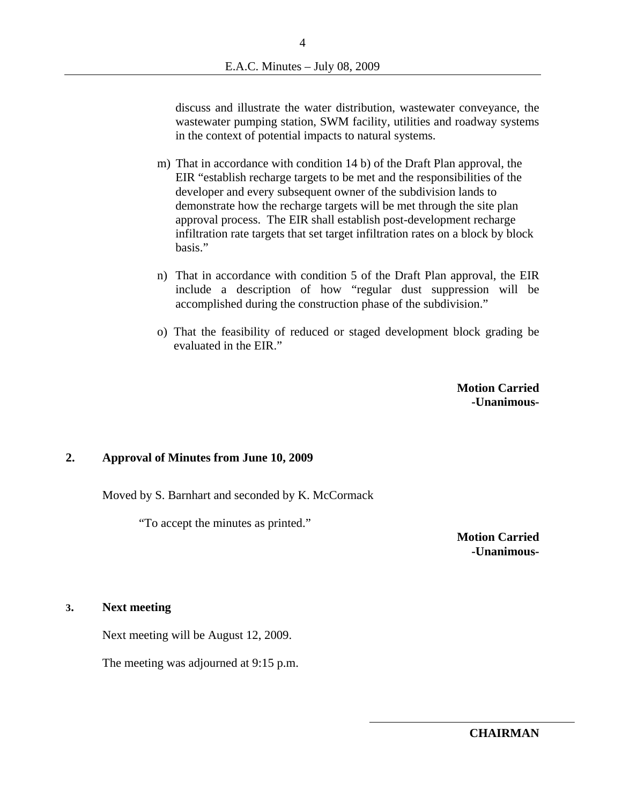discuss and illustrate the water distribution, wastewater conveyance, the wastewater pumping station, SWM facility, utilities and roadway systems in the context of potential impacts to natural systems.

- m) That in accordance with condition 14 b) of the Draft Plan approval, the EIR "establish recharge targets to be met and the responsibilities of the developer and every subsequent owner of the subdivision lands to demonstrate how the recharge targets will be met through the site plan approval process. The EIR shall establish post-development recharge infiltration rate targets that set target infiltration rates on a block by block basis."
- n) That in accordance with condition 5 of the Draft Plan approval, the EIR include a description of how "regular dust suppression will be accomplished during the construction phase of the subdivision."
- o) That the feasibility of reduced or staged development block grading be evaluated in the EIR."

**Motion Carried -Unanimous-**

### **2. Approval of Minutes from June 10, 2009**

Moved by S. Barnhart and seconded by K. McCormack

"To accept the minutes as printed."

**Motion Carried -Unanimous-**

#### **3. Next meeting**

Next meeting will be August 12, 2009.

The meeting was adjourned at 9:15 p.m.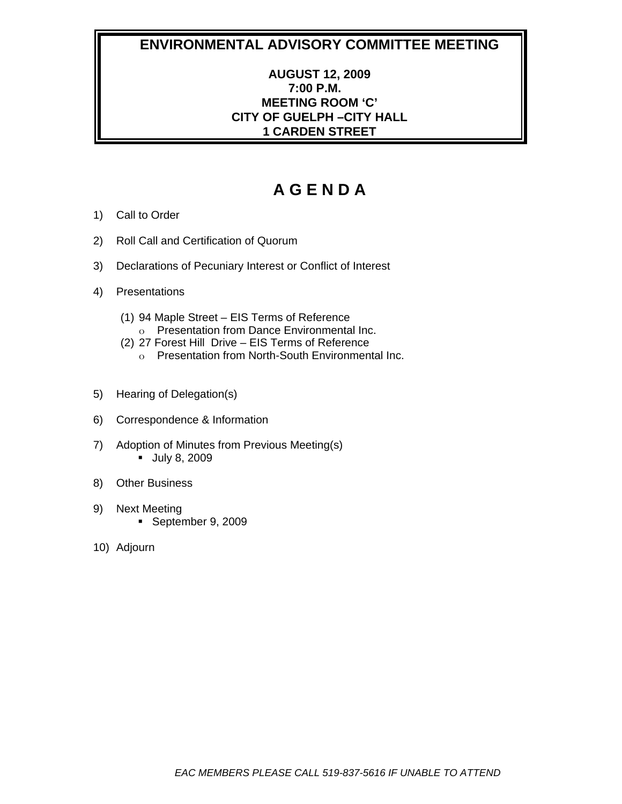## **ENVIRONMENTAL ADVISORY COMMITTEE MEETING**

## **AUGUST 12, 2009 7:00 P.M. MEETING ROOM 'C' CITY OF GUELPH –CITY HALL 1 CARDEN STREET**

# **A G E N D A**

- 1) Call to Order
- 2) Roll Call and Certification of Quorum
- 3) Declarations of Pecuniary Interest or Conflict of Interest
- 4) Presentations
	- (1) 94 Maple Street EIS Terms of Reference
		- o Presentation from Dance Environmental Inc.
	- (2) 27 Forest Hill Drive EIS Terms of Reference
		- o Presentation from North-South Environmental Inc.
- 5) Hearing of Delegation(s)
- 6) Correspondence & Information
- 7) Adoption of Minutes from Previous Meeting(s) **July 8, 2009**
- 8) Other Business
- 9) Next Meeting September 9, 2009
- 10) Adjourn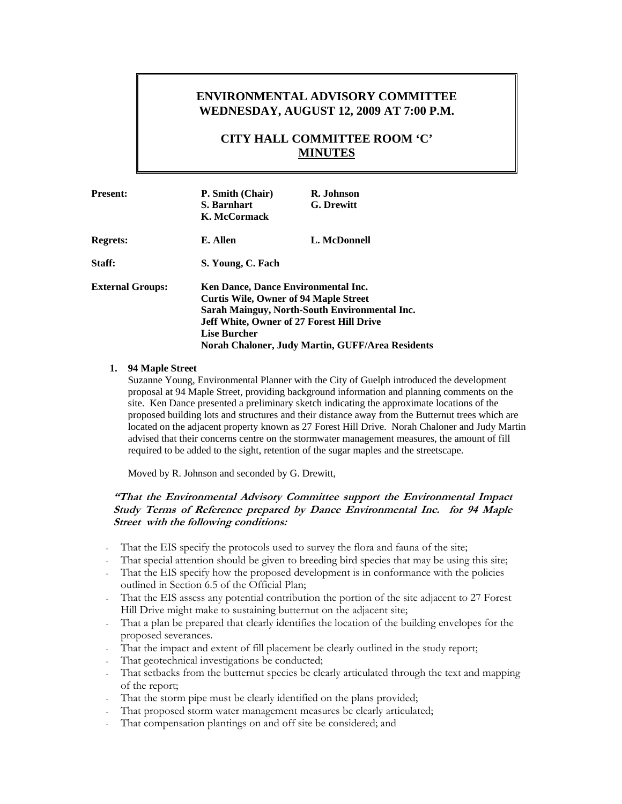## **ENVIRONMENTAL ADVISORY COMMITTEE WEDNESDAY, AUGUST 12, 2009 AT 7:00 P.M.**

## **CITY HALL COMMITTEE ROOM 'C' MINUTES**

| <b>Present:</b>         | P. Smith (Chair)<br>S. Barnhart<br>K. McCormack                                                                                                                                                                                                                     | R. Johnson<br><b>G.</b> Drewitt |
|-------------------------|---------------------------------------------------------------------------------------------------------------------------------------------------------------------------------------------------------------------------------------------------------------------|---------------------------------|
| <b>Regrets:</b>         | E. Allen                                                                                                                                                                                                                                                            | L. McDonnell                    |
| Staff:                  | S. Young, C. Fach                                                                                                                                                                                                                                                   |                                 |
| <b>External Groups:</b> | Ken Dance, Dance Environmental Inc.<br><b>Curtis Wile, Owner of 94 Maple Street</b><br>Sarah Mainguy, North-South Environmental Inc.<br><b>Jeff White, Owner of 27 Forest Hill Drive</b><br><b>Lise Burcher</b><br>Norah Chaloner, Judy Martin, GUFF/Area Residents |                                 |

#### **1. 94 Maple Street**

Suzanne Young, Environmental Planner with the City of Guelph introduced the development proposal at 94 Maple Street, providing background information and planning comments on the site. Ken Dance presented a preliminary sketch indicating the approximate locations of the proposed building lots and structures and their distance away from the Butternut trees which are located on the adjacent property known as 27 Forest Hill Drive. Norah Chaloner and Judy Martin advised that their concerns centre on the stormwater management measures, the amount of fill required to be added to the sight, retention of the sugar maples and the streetscape.

Moved by R. Johnson and seconded by G. Drewitt,

#### **"That the Environmental Advisory Committee support the Environmental Impact Study Terms of Reference prepared by Dance Environmental Inc. for 94 Maple Street with the following conditions:**

- That the EIS specify the protocols used to survey the flora and fauna of the site;
- That special attention should be given to breeding bird species that may be using this site;
- That the EIS specify how the proposed development is in conformance with the policies outlined in Section 6.5 of the Official Plan;
- That the EIS assess any potential contribution the portion of the site adjacent to 27 Forest Hill Drive might make to sustaining butternut on the adjacent site;
- That a plan be prepared that clearly identifies the location of the building envelopes for the proposed severances.
- That the impact and extent of fill placement be clearly outlined in the study report;
- That geotechnical investigations be conducted;
- That setbacks from the butternut species be clearly articulated through the text and mapping of the report;
- That the storm pipe must be clearly identified on the plans provided;
- That proposed storm water management measures be clearly articulated;
- That compensation plantings on and off site be considered; and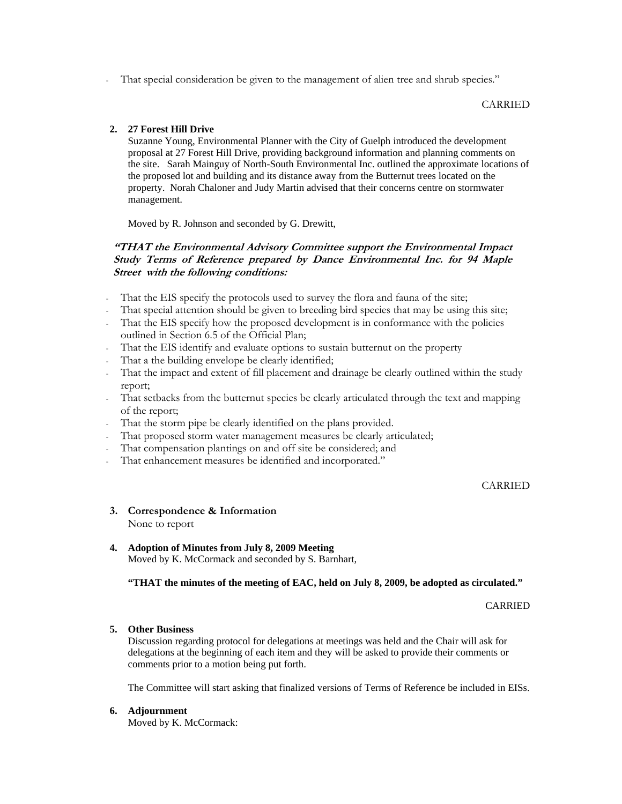That special consideration be given to the management of alien tree and shrub species."

#### CARRIED

#### **2. 27 Forest Hill Drive**

Suzanne Young, Environmental Planner with the City of Guelph introduced the development proposal at 27 Forest Hill Drive, providing background information and planning comments on the site. Sarah Mainguy of North-South Environmental Inc. outlined the approximate locations of the proposed lot and building and its distance away from the Butternut trees located on the property. Norah Chaloner and Judy Martin advised that their concerns centre on stormwater management.

Moved by R. Johnson and seconded by G. Drewitt,

#### **"THAT the Environmental Advisory Committee support the Environmental Impact Study Terms of Reference prepared by Dance Environmental Inc. for 94 Maple Street with the following conditions:**

- That the EIS specify the protocols used to survey the flora and fauna of the site;
- That special attention should be given to breeding bird species that may be using this site;
- That the EIS specify how the proposed development is in conformance with the policies outlined in Section 6.5 of the Official Plan;
- That the EIS identify and evaluate options to sustain butternut on the property
- That a the building envelope be clearly identified;
- That the impact and extent of fill placement and drainage be clearly outlined within the study report;
- That setbacks from the butternut species be clearly articulated through the text and mapping of the report;
- That the storm pipe be clearly identified on the plans provided.
- That proposed storm water management measures be clearly articulated;
- That compensation plantings on and off site be considered; and
- That enhancement measures be identified and incorporated."

#### CARRIED

- **3. Correspondence & Information**  None to report
- **4. Adoption of Minutes from July 8, 2009 Meeting**  Moved by K. McCormack and seconded by S. Barnhart,

**"THAT the minutes of the meeting of EAC, held on July 8, 2009, be adopted as circulated."** 

#### CARRIED

#### **5. Other Business**

Discussion regarding protocol for delegations at meetings was held and the Chair will ask for delegations at the beginning of each item and they will be asked to provide their comments or comments prior to a motion being put forth.

The Committee will start asking that finalized versions of Terms of Reference be included in EISs.

#### **6. Adjournment**

Moved by K. McCormack: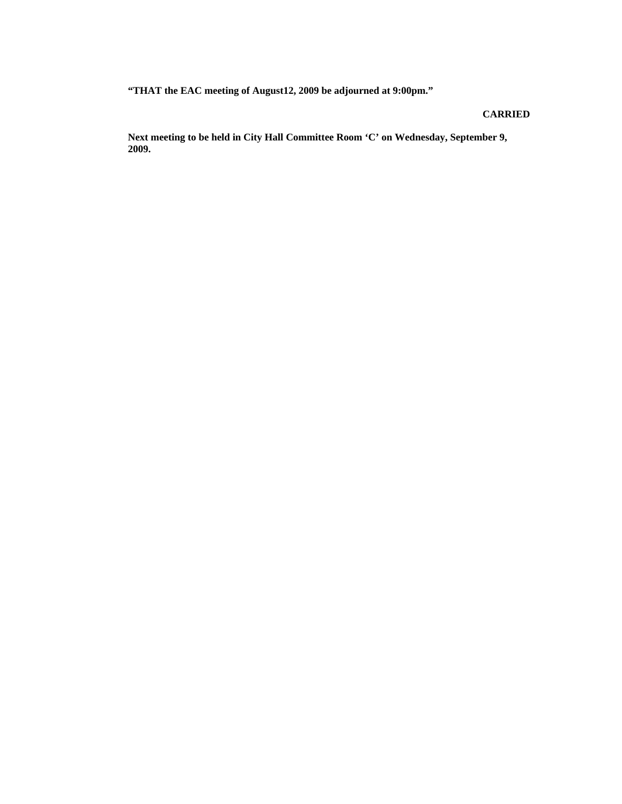**"THAT the EAC meeting of August12, 2009 be adjourned at 9:00pm."** 

#### **CARRIED**

**Next meeting to be held in City Hall Committee Room 'C' on Wednesday, September 9, 2009.**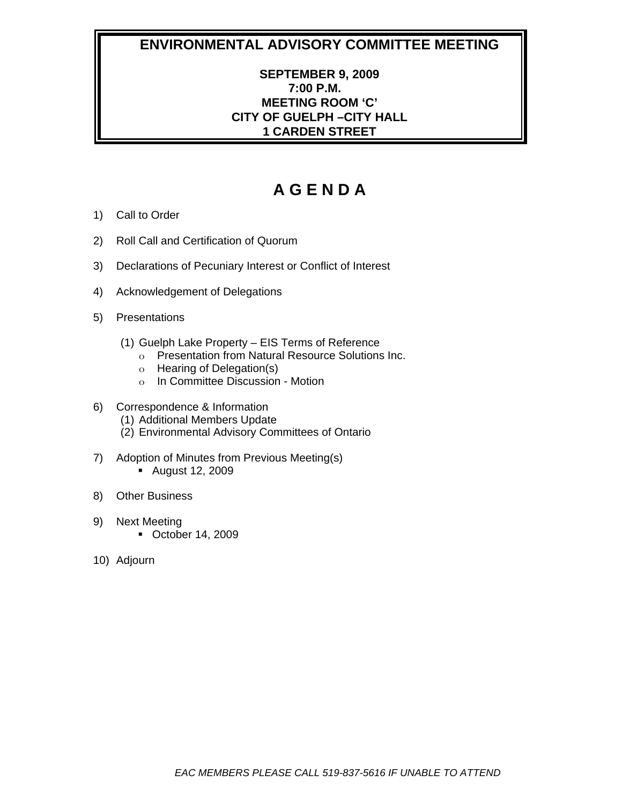# **ENVIRONMENTAL ADVISORY COMMITTEE MEETING**

## **SEPTEMBER 9, 2009 7:00 P.M. MEETING ROOM 'C' CITY OF GUELPH –CITY HALL 1 CARDEN STREET**

# **A G E N D A**

- 1) Call to Order
- 2) Roll Call and Certification of Quorum
- 3) Declarations of Pecuniary Interest or Conflict of Interest
- 4) Acknowledgement of Delegations
- 5) Presentations
	- (1) Guelph Lake Property EIS Terms of Reference
		- o Presentation from Natural Resource Solutions Inc.
		- o Hearing of Delegation(s)
		- o In Committee Discussion Motion
- 6) Correspondence & Information
	- (1) Additional Members Update
	- (2) Environmental Advisory Committees of Ontario
- 7) Adoption of Minutes from Previous Meeting(s) August 12, 2009
- 8) Other Business
- 9) Next Meeting
	- October 14, 2009
- 10) Adjourn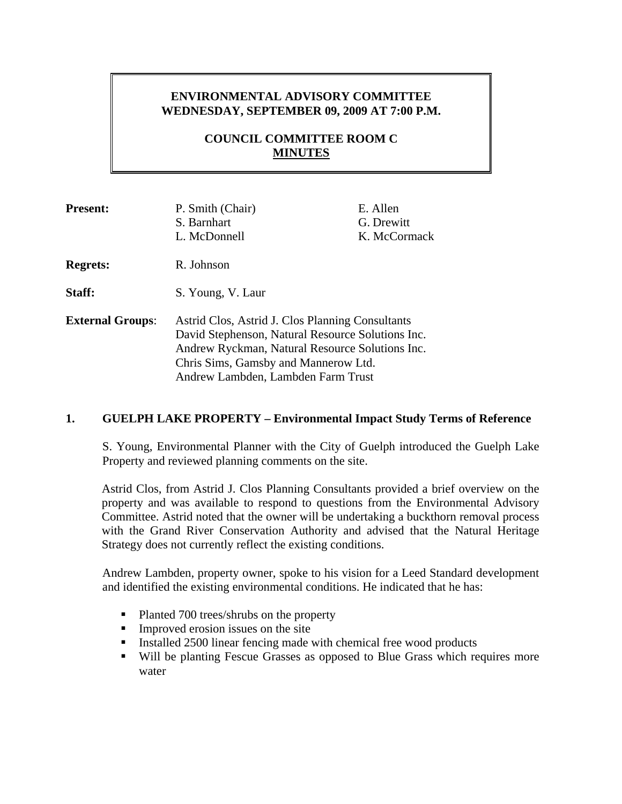## **ENVIRONMENTAL ADVISORY COMMITTEE WEDNESDAY, SEPTEMBER 09, 2009 AT 7:00 P.M.**

## **COUNCIL COMMITTEE ROOM C MINUTES**

| <b>Present:</b>         | P. Smith (Chair)<br>S. Barnhart<br>L. McDonnell                                                                                                                                                                                        | E. Allen<br>G. Drewitt<br>K. McCormack |
|-------------------------|----------------------------------------------------------------------------------------------------------------------------------------------------------------------------------------------------------------------------------------|----------------------------------------|
| <b>Regrets:</b>         | R. Johnson                                                                                                                                                                                                                             |                                        |
| Staff:                  | S. Young, V. Laur                                                                                                                                                                                                                      |                                        |
| <b>External Groups:</b> | Astrid Clos, Astrid J. Clos Planning Consultants<br>David Stephenson, Natural Resource Solutions Inc.<br>Andrew Ryckman, Natural Resource Solutions Inc.<br>Chris Sims, Gamsby and Mannerow Ltd.<br>Andrew Lambden, Lambden Farm Trust |                                        |

## **1. GUELPH LAKE PROPERTY – Environmental Impact Study Terms of Reference**

S. Young, Environmental Planner with the City of Guelph introduced the Guelph Lake Property and reviewed planning comments on the site.

Astrid Clos, from Astrid J. Clos Planning Consultants provided a brief overview on the property and was available to respond to questions from the Environmental Advisory Committee. Astrid noted that the owner will be undertaking a buckthorn removal process with the Grand River Conservation Authority and advised that the Natural Heritage Strategy does not currently reflect the existing conditions.

Andrew Lambden, property owner, spoke to his vision for a Leed Standard development and identified the existing environmental conditions. He indicated that he has:

- Planted 700 trees/shrubs on the property
- $\blacksquare$  Improved erosion issues on the site
- Installed  $2500$  linear fencing made with chemical free wood products
- Will be planting Fescue Grasses as opposed to Blue Grass which requires more water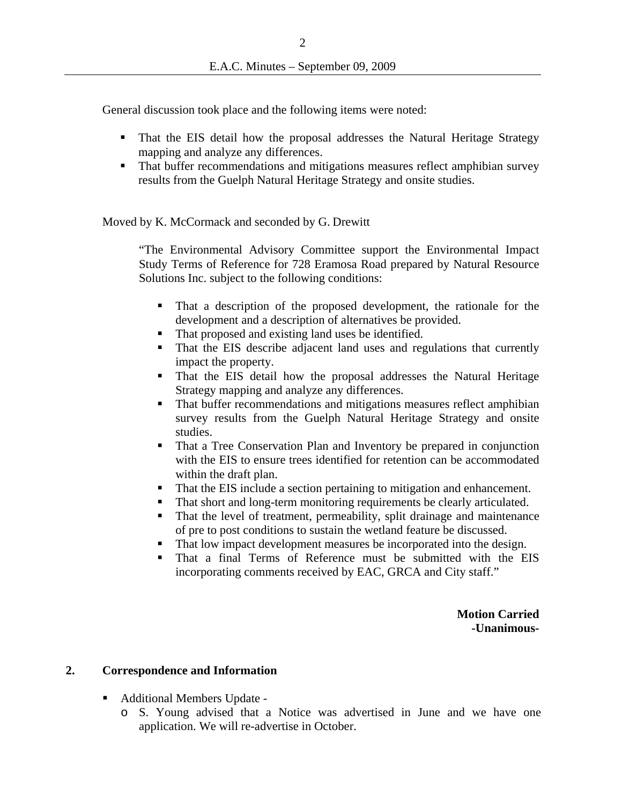General discussion took place and the following items were noted:

- That the EIS detail how the proposal addresses the Natural Heritage Strategy mapping and analyze any differences.
- That buffer recommendations and mitigations measures reflect amphibian survey results from the Guelph Natural Heritage Strategy and onsite studies.

Moved by K. McCormack and seconded by G. Drewitt

"The Environmental Advisory Committee support the Environmental Impact Study Terms of Reference for 728 Eramosa Road prepared by Natural Resource Solutions Inc. subject to the following conditions:

- That a description of the proposed development, the rationale for the development and a description of alternatives be provided.
- That proposed and existing land uses be identified.
- That the EIS describe adjacent land uses and regulations that currently impact the property.
- That the EIS detail how the proposal addresses the Natural Heritage Strategy mapping and analyze any differences.
- That buffer recommendations and mitigations measures reflect amphibian survey results from the Guelph Natural Heritage Strategy and onsite studies.
- That a Tree Conservation Plan and Inventory be prepared in conjunction with the EIS to ensure trees identified for retention can be accommodated within the draft plan.
- That the EIS include a section pertaining to mitigation and enhancement.
- That short and long-term monitoring requirements be clearly articulated.
- That the level of treatment, permeability, split drainage and maintenance of pre to post conditions to sustain the wetland feature be discussed.
- That low impact development measures be incorporated into the design.
- That a final Terms of Reference must be submitted with the EIS incorporating comments received by EAC, GRCA and City staff."

**Motion Carried -Unanimous-** 

#### **2. Correspondence and Information**

- Additional Members Update
	- o S. Young advised that a Notice was advertised in June and we have one application. We will re-advertise in October.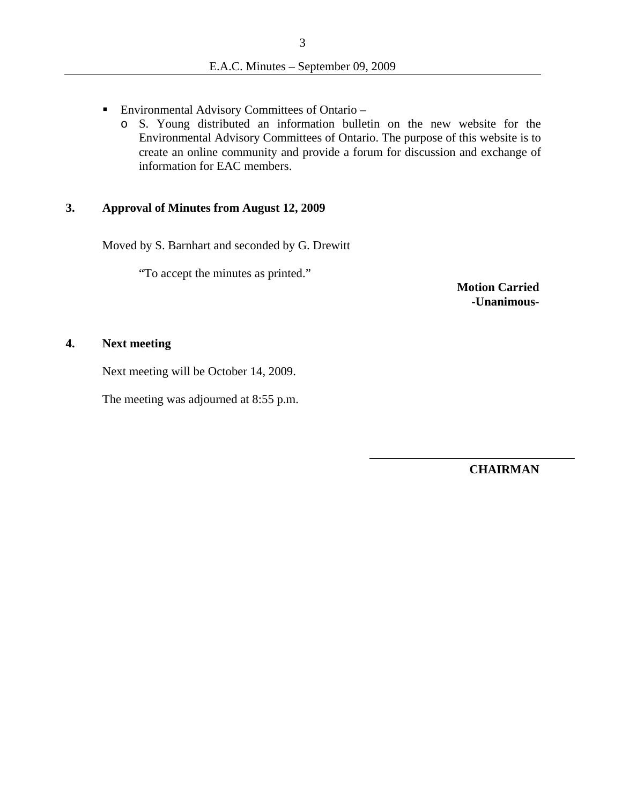- Environmental Advisory Committees of Ontario
	- o S. Young distributed an information bulletin on the new website for the Environmental Advisory Committees of Ontario. The purpose of this website is to create an online community and provide a forum for discussion and exchange of information for EAC members.

#### **3. Approval of Minutes from August 12, 2009**

Moved by S. Barnhart and seconded by G. Drewitt

"To accept the minutes as printed."

**Motion Carried -Unanimous-** 

## **4. Next meeting**

Next meeting will be October 14, 2009.

The meeting was adjourned at 8:55 p.m.

**CHAIRMAN**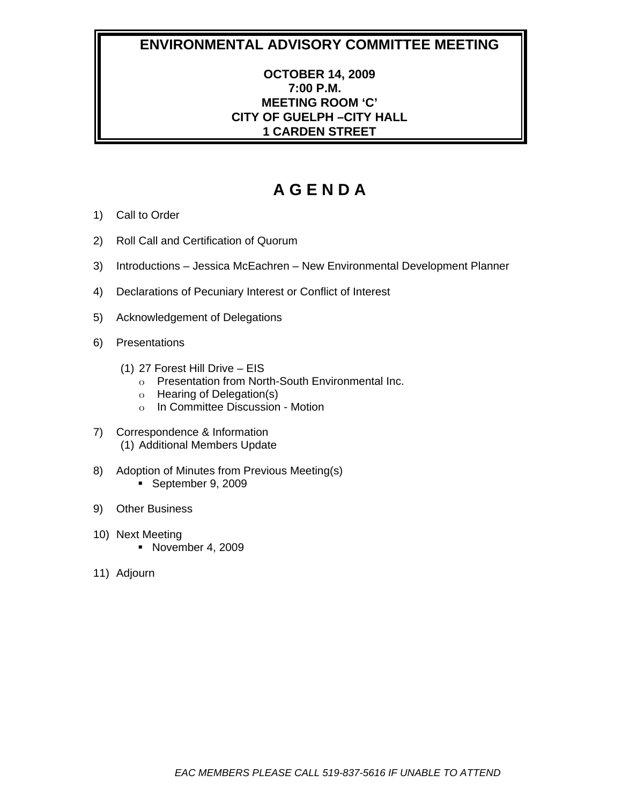## **ENVIRONMENTAL ADVISORY COMMITTEE MEETING**

## **OCTOBER 14, 2009 7:00 P.M. MEETING ROOM 'C' CITY OF GUELPH –CITY HALL 1 CARDEN STREET**

# **A G E N D A**

- 1) Call to Order
- 2) Roll Call and Certification of Quorum
- 3) Introductions Jessica McEachren New Environmental Development Planner
- 4) Declarations of Pecuniary Interest or Conflict of Interest
- 5) Acknowledgement of Delegations
- 6) Presentations
	- (1) 27 Forest Hill Drive EIS
		- o Presentation from North-South Environmental Inc.
		- o Hearing of Delegation(s)
		- o In Committee Discussion Motion
- 7) Correspondence & Information (1) Additional Members Update
- 8) Adoption of Minutes from Previous Meeting(s) September 9, 2009
- 9) Other Business
- 10) Next Meeting November 4, 2009
- 11) Adjourn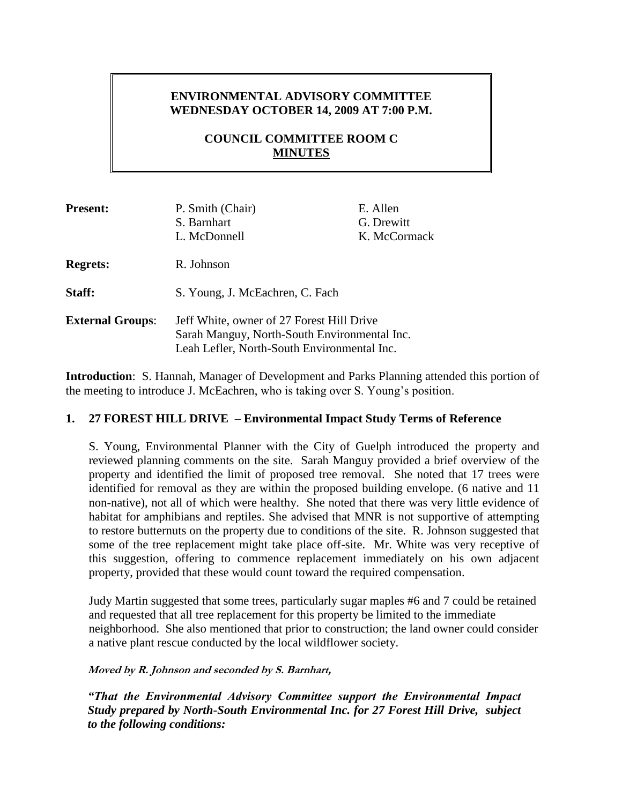## **ENVIRONMENTAL ADVISORY COMMITTEE WEDNESDAY OCTOBER 14, 2009 AT 7:00 P.M.**

## **COUNCIL COMMITTEE ROOM C MINUTES**

| <b>Present:</b>         | P. Smith (Chair)<br>S. Barnhart<br>L. McDonnell                                                                                          | E. Allen<br>G. Drewitt<br>K. McCormack |
|-------------------------|------------------------------------------------------------------------------------------------------------------------------------------|----------------------------------------|
| <b>Regrets:</b>         | R. Johnson                                                                                                                               |                                        |
| Staff:                  | S. Young, J. McEachren, C. Fach                                                                                                          |                                        |
| <b>External Groups:</b> | Jeff White, owner of 27 Forest Hill Drive<br>Sarah Manguy, North-South Environmental Inc.<br>Leah Lefler, North-South Environmental Inc. |                                        |

**Introduction**: S. Hannah, Manager of Development and Parks Planning attended this portion of the meeting to introduce J. McEachren, who is taking over S. Young's position.

## **1. 27 FOREST HILL DRIVE – Environmental Impact Study Terms of Reference**

S. Young, Environmental Planner with the City of Guelph introduced the property and reviewed planning comments on the site. Sarah Manguy provided a brief overview of the property and identified the limit of proposed tree removal. She noted that 17 trees were identified for removal as they are within the proposed building envelope. (6 native and 11 non-native), not all of which were healthy. She noted that there was very little evidence of habitat for amphibians and reptiles. She advised that MNR is not supportive of attempting to restore butternuts on the property due to conditions of the site. R. Johnson suggested that some of the tree replacement might take place off-site. Mr. White was very receptive of this suggestion, offering to commence replacement immediately on his own adjacent property, provided that these would count toward the required compensation.

Judy Martin suggested that some trees, particularly sugar maples #6 and 7 could be retained and requested that all tree replacement for this property be limited to the immediate neighborhood. She also mentioned that prior to construction; the land owner could consider a native plant rescue conducted by the local wildflower society.

#### **Moved by R. Johnson and seconded by S. Barnhart,**

*"That the Environmental Advisory Committee support the Environmental Impact Study prepared by North-South Environmental Inc. for 27 Forest Hill Drive, subject to the following conditions:*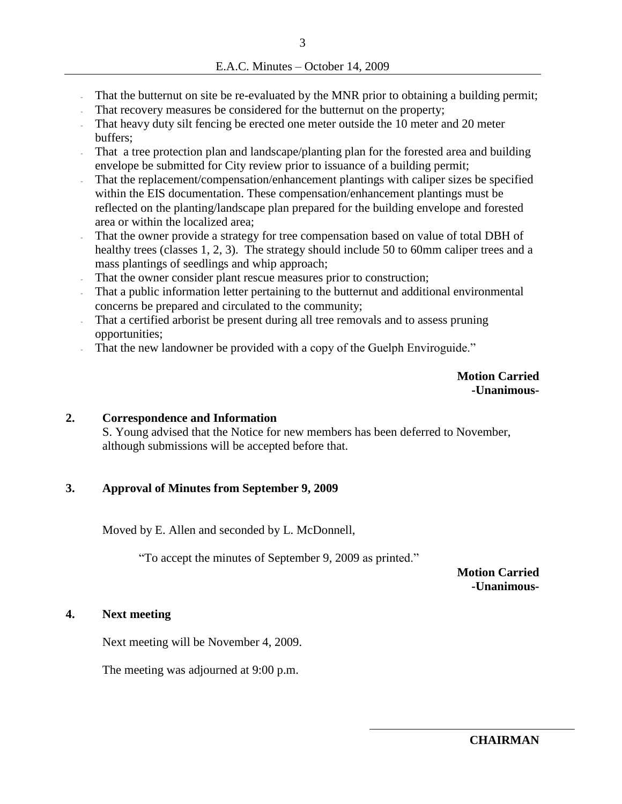- That the butternut on site be re-evaluated by the MNR prior to obtaining a building permit;
- That recovery measures be considered for the butternut on the property;
- That heavy duty silt fencing be erected one meter outside the 10 meter and 20 meter buffers;
- That a tree protection plan and landscape/planting plan for the forested area and building envelope be submitted for City review prior to issuance of a building permit;
- That the replacement/compensation/enhancement plantings with caliper sizes be specified within the EIS documentation. These compensation/enhancement plantings must be reflected on the planting/landscape plan prepared for the building envelope and forested area or within the localized area;
- That the owner provide a strategy for tree compensation based on value of total DBH of healthy trees (classes 1, 2, 3). The strategy should include 50 to 60mm caliper trees and a mass plantings of seedlings and whip approach;
- That the owner consider plant rescue measures prior to construction;
- That a public information letter pertaining to the butternut and additional environmental concerns be prepared and circulated to the community;
- That a certified arborist be present during all tree removals and to assess pruning opportunities;
- That the new landowner be provided with a copy of the Guelph Enviroguide."

**Motion Carried -Unanimous-**

#### **2. Correspondence and Information**

S. Young advised that the Notice for new members has been deferred to November, although submissions will be accepted before that.

### **3. Approval of Minutes from September 9, 2009**

Moved by E. Allen and seconded by L. McDonnell,

"To accept the minutes of September 9, 2009 as printed."

**Motion Carried -Unanimous-**

#### **4. Next meeting**

Next meeting will be November 4, 2009.

The meeting was adjourned at 9:00 p.m.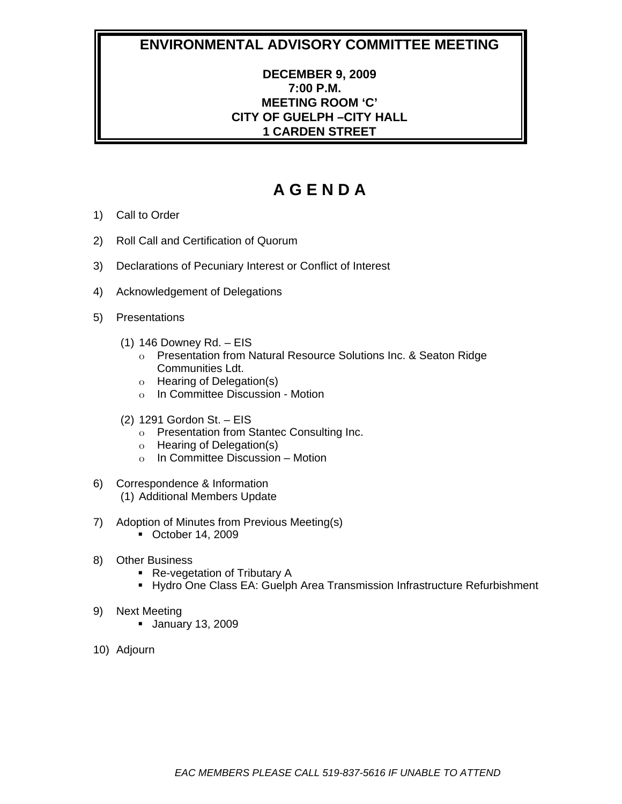# **ENVIRONMENTAL ADVISORY COMMITTEE MEETING**

## **DECEMBER 9, 2009 7:00 P.M. MEETING ROOM 'C' CITY OF GUELPH –CITY HALL 1 CARDEN STREET**

# **A G E N D A**

- 1) Call to Order
- 2) Roll Call and Certification of Quorum
- 3) Declarations of Pecuniary Interest or Conflict of Interest
- 4) Acknowledgement of Delegations
- 5) Presentations
	- (1) 146 Downey Rd. EIS
		- o Presentation from Natural Resource Solutions Inc. & Seaton Ridge Communities Ldt.
		- o Hearing of Delegation(s)
		- o In Committee Discussion Motion
	- (2) 1291 Gordon St. EIS
		- o Presentation from Stantec Consulting Inc.
		- o Hearing of Delegation(s)
		- o In Committee Discussion Motion
- 6) Correspondence & Information (1) Additional Members Update
- 7) Adoption of Minutes from Previous Meeting(s) October 14, 2009
- 8) Other Business
	- Re-vegetation of Tributary A
	- **Hydro One Class EA: Guelph Area Transmission Infrastructure Refurbishment**
- 9) Next Meeting
	- January 13, 2009
- 10) Adjourn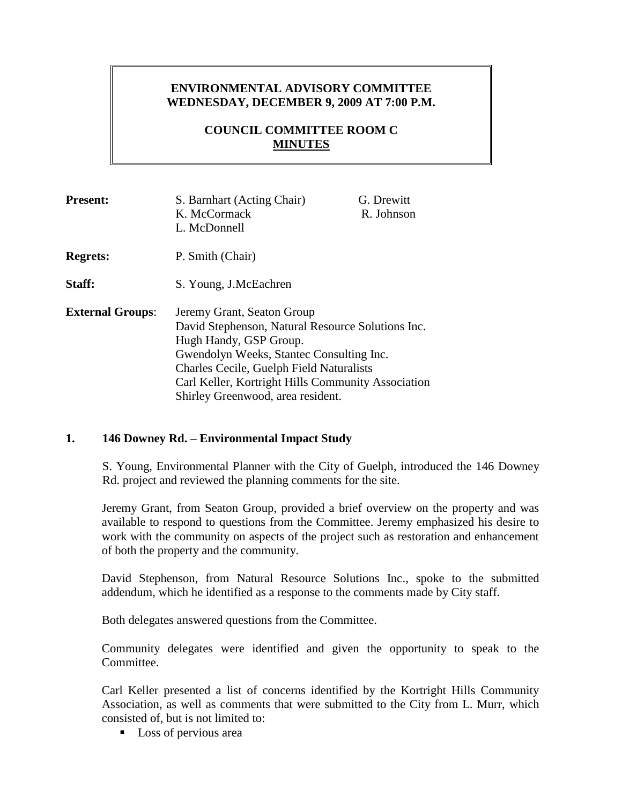## **ENVIRONMENTAL ADVISORY COMMITTEE WEDNESDAY, DECEMBER 9, 2009 AT 7:00 P.M.**

## **COUNCIL COMMITTEE ROOM C MINUTES**

| <b>Present:</b>         | S. Barnhart (Acting Chair)<br>K. McCormack<br>L. McDonnell                                                                                                                                                                                                                                          | G. Drewitt<br>R. Johnson |
|-------------------------|-----------------------------------------------------------------------------------------------------------------------------------------------------------------------------------------------------------------------------------------------------------------------------------------------------|--------------------------|
| <b>Regrets:</b>         | P. Smith (Chair)                                                                                                                                                                                                                                                                                    |                          |
| Staff:                  | S. Young, J.McEachren                                                                                                                                                                                                                                                                               |                          |
| <b>External Groups:</b> | Jeremy Grant, Seaton Group<br>David Stephenson, Natural Resource Solutions Inc.<br>Hugh Handy, GSP Group.<br>Gwendolyn Weeks, Stantec Consulting Inc.<br><b>Charles Cecile, Guelph Field Naturalists</b><br>Carl Keller, Kortright Hills Community Association<br>Shirley Greenwood, area resident. |                          |

### **1. 146 Downey Rd. – Environmental Impact Study**

S. Young, Environmental Planner with the City of Guelph, introduced the 146 Downey Rd. project and reviewed the planning comments for the site.

Jeremy Grant, from Seaton Group, provided a brief overview on the property and was available to respond to questions from the Committee. Jeremy emphasized his desire to work with the community on aspects of the project such as restoration and enhancement of both the property and the community.

David Stephenson, from Natural Resource Solutions Inc., spoke to the submitted addendum, which he identified as a response to the comments made by City staff.

Both delegates answered questions from the Committee.

Community delegates were identified and given the opportunity to speak to the Committee.

Carl Keller presented a list of concerns identified by the Kortright Hills Community Association, as well as comments that were submitted to the City from L. Murr, which consisted of, but is not limited to:

■ Loss of pervious area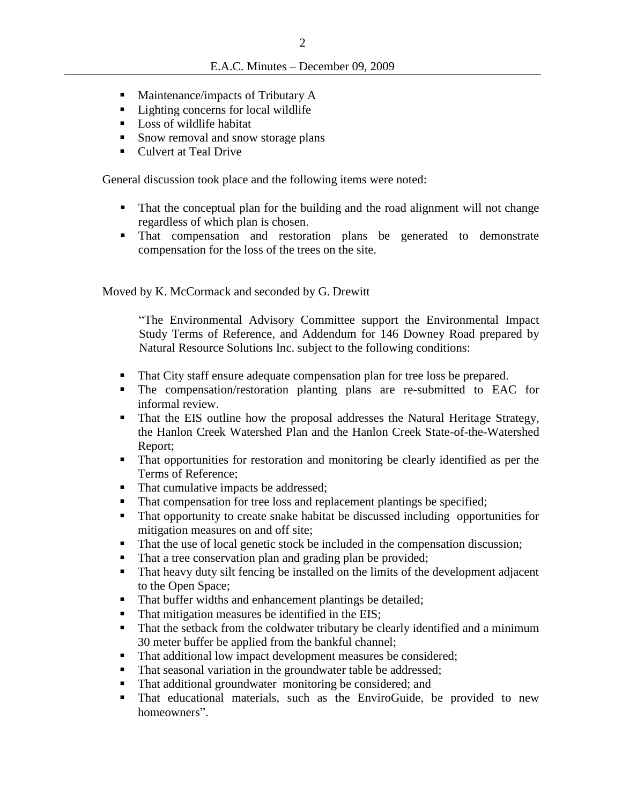- $\blacksquare$  Maintenance/impacts of Tributary A
- Lighting concerns for local wildlife
- Loss of wildlife habitat
- Snow removal and snow storage plans
- **Culvert at Teal Drive**

General discussion took place and the following items were noted:

- That the conceptual plan for the building and the road alignment will not change regardless of which plan is chosen.
- That compensation and restoration plans be generated to demonstrate compensation for the loss of the trees on the site.

Moved by K. McCormack and seconded by G. Drewitt

"The Environmental Advisory Committee support the Environmental Impact Study Terms of Reference, and Addendum for 146 Downey Road prepared by Natural Resource Solutions Inc. subject to the following conditions:

- That City staff ensure adequate compensation plan for tree loss be prepared.
- The compensation/restoration planting plans are re-submitted to EAC for informal review.
- That the EIS outline how the proposal addresses the Natural Heritage Strategy, the Hanlon Creek Watershed Plan and the Hanlon Creek State-of-the-Watershed Report;
- That opportunities for restoration and monitoring be clearly identified as per the Terms of Reference;
- That cumulative impacts be addressed;
- That compensation for tree loss and replacement plantings be specified;
- That opportunity to create snake habitat be discussed including opportunities for mitigation measures on and off site;
- That the use of local genetic stock be included in the compensation discussion;
- That a tree conservation plan and grading plan be provided;
- That heavy duty silt fencing be installed on the limits of the development adjacent to the Open Space;
- That buffer widths and enhancement plantings be detailed;
- That mitigation measures be identified in the EIS;
- That the setback from the coldwater tributary be clearly identified and a minimum 30 meter buffer be applied from the bankful channel;
- That additional low impact development measures be considered;
- That seasonal variation in the groundwater table be addressed;
- That additional groundwater monitoring be considered; and
- That educational materials, such as the EnviroGuide, be provided to new homeowners".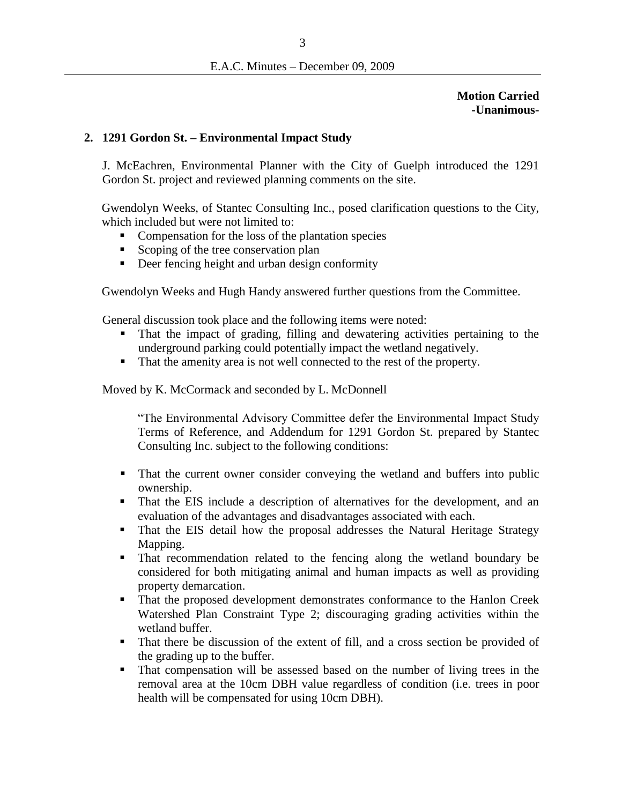**Motion Carried -Unanimous-**

## **2. 1291 Gordon St. – Environmental Impact Study**

J. McEachren, Environmental Planner with the City of Guelph introduced the 1291 Gordon St. project and reviewed planning comments on the site.

Gwendolyn Weeks, of Stantec Consulting Inc., posed clarification questions to the City, which included but were not limited to:

- Compensation for the loss of the plantation species
- Scoping of the tree conservation plan
- Deer fencing height and urban design conformity

Gwendolyn Weeks and Hugh Handy answered further questions from the Committee.

General discussion took place and the following items were noted:

- That the impact of grading, filling and dewatering activities pertaining to the underground parking could potentially impact the wetland negatively.
- That the amenity area is not well connected to the rest of the property.

Moved by K. McCormack and seconded by L. McDonnell

"The Environmental Advisory Committee defer the Environmental Impact Study Terms of Reference, and Addendum for 1291 Gordon St. prepared by Stantec Consulting Inc. subject to the following conditions:

- That the current owner consider conveying the wetland and buffers into public ownership.
- That the EIS include a description of alternatives for the development, and an evaluation of the advantages and disadvantages associated with each.
- That the EIS detail how the proposal addresses the Natural Heritage Strategy Mapping.
- That recommendation related to the fencing along the wetland boundary be considered for both mitigating animal and human impacts as well as providing property demarcation.
- That the proposed development demonstrates conformance to the Hanlon Creek Watershed Plan Constraint Type 2; discouraging grading activities within the wetland buffer.
- That there be discussion of the extent of fill, and a cross section be provided of the grading up to the buffer.
- That compensation will be assessed based on the number of living trees in the removal area at the 10cm DBH value regardless of condition (i.e. trees in poor health will be compensated for using 10cm DBH).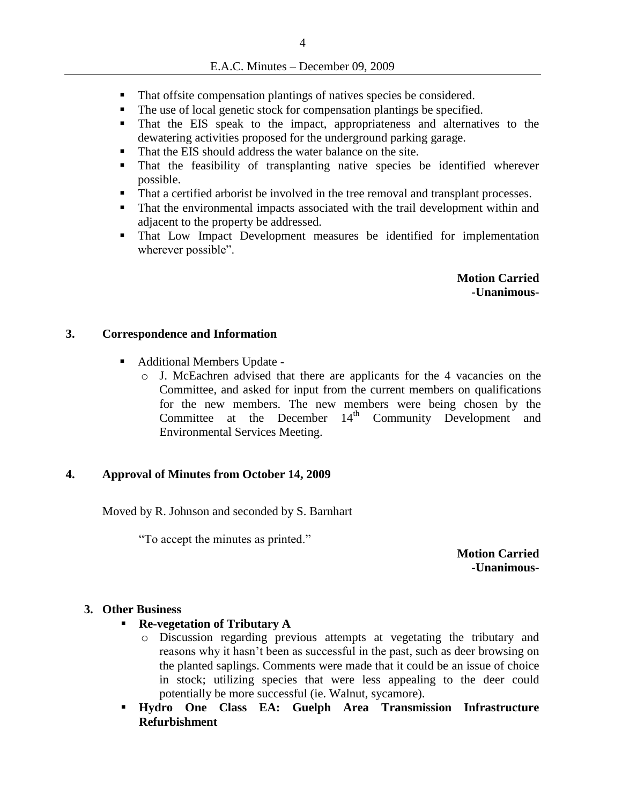#### E.A.C. Minutes – December 09, 2009

- That offsite compensation plantings of natives species be considered.
- The use of local genetic stock for compensation plantings be specified.
- That the EIS speak to the impact, appropriateness and alternatives to the dewatering activities proposed for the underground parking garage.
- That the EIS should address the water balance on the site.
- That the feasibility of transplanting native species be identified wherever possible.
- That a certified arborist be involved in the tree removal and transplant processes.
- That the environmental impacts associated with the trail development within and adjacent to the property be addressed.
- That Low Impact Development measures be identified for implementation wherever possible".

**Motion Carried -Unanimous-**

#### **3. Correspondence and Information**

- Additional Members Update
	- $\circ$  J. McEachren advised that there are applicants for the 4 vacancies on the Committee, and asked for input from the current members on qualifications for the new members. The new members were being chosen by the Committee at the December  $14<sup>th</sup>$  Community Development and Environmental Services Meeting.

#### **4. Approval of Minutes from October 14, 2009**

Moved by R. Johnson and seconded by S. Barnhart

"To accept the minutes as printed."

**Motion Carried -Unanimous-**

#### **3. Other Business**

- **Re-vegetation of Tributary A**
	- o Discussion regarding previous attempts at vegetating the tributary and reasons why it hasn't been as successful in the past, such as deer browsing on the planted saplings. Comments were made that it could be an issue of choice in stock; utilizing species that were less appealing to the deer could potentially be more successful (ie. Walnut, sycamore).
- **Hydro One Class EA: Guelph Area Transmission Infrastructure Refurbishment**